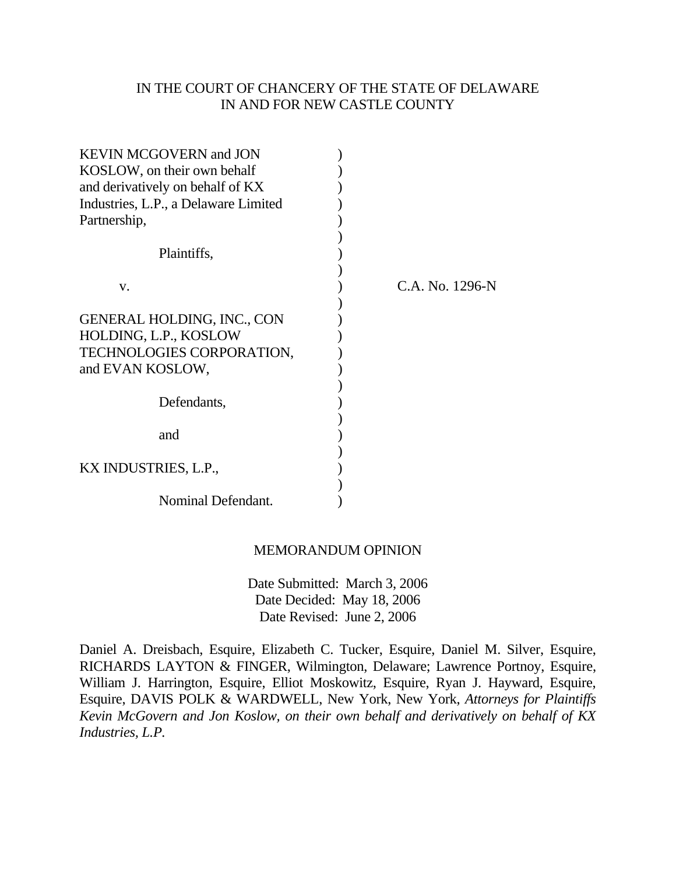# IN THE COURT OF CHANCERY OF THE STATE OF DELAWARE IN AND FOR NEW CASTLE COUNTY

| <b>KEVIN MCGOVERN and JON</b>        |                 |
|--------------------------------------|-----------------|
| KOSLOW, on their own behalf          |                 |
| and derivatively on behalf of KX     |                 |
| Industries, L.P., a Delaware Limited |                 |
| Partnership,                         |                 |
|                                      |                 |
| Plaintiffs,                          |                 |
|                                      |                 |
| V.                                   | C.A. No. 1296-N |
|                                      |                 |
| <b>GENERAL HOLDING, INC., CON</b>    |                 |
| HOLDING, L.P., KOSLOW                |                 |
| <b>TECHNOLOGIES CORPORATION,</b>     |                 |
| and EVAN KOSLOW,                     |                 |
|                                      |                 |
| Defendants,                          |                 |
|                                      |                 |
| and                                  |                 |
|                                      |                 |
| KX INDUSTRIES, L.P.,                 |                 |
|                                      |                 |
| Nominal Defendant.                   |                 |

#### MEMORANDUM OPINION

 Date Submitted: March 3, 2006 Date Decided: May 18, 2006 Date Revised: June 2, 2006

Daniel A. Dreisbach, Esquire, Elizabeth C. Tucker, Esquire, Daniel M. Silver, Esquire, RICHARDS LAYTON & FINGER, Wilmington, Delaware; Lawrence Portnoy, Esquire, William J. Harrington, Esquire, Elliot Moskowitz, Esquire, Ryan J. Hayward, Esquire, Esquire, DAVIS POLK & WARDWELL, New York, New York, *Attorneys for Plaintiffs Kevin McGovern and Jon Koslow, on their own behalf and derivatively on behalf of KX Industries, L.P.*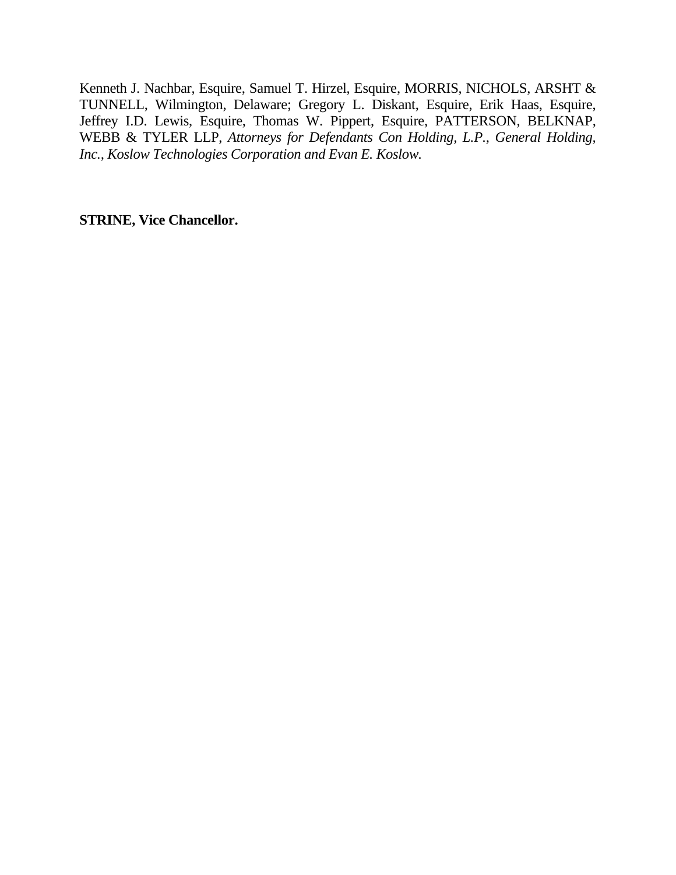Kenneth J. Nachbar, Esquire, Samuel T. Hirzel, Esquire, MORRIS, NICHOLS, ARSHT & TUNNELL, Wilmington, Delaware; Gregory L. Diskant, Esquire, Erik Haas, Esquire, Jeffrey I.D. Lewis, Esquire, Thomas W. Pippert, Esquire, PATTERSON, BELKNAP, WEBB & TYLER LLP, *Attorneys for Defendants Con Holding, L.P., General Holding, Inc., Koslow Technologies Corporation and Evan E. Koslow.* 

**STRINE, Vice Chancellor.**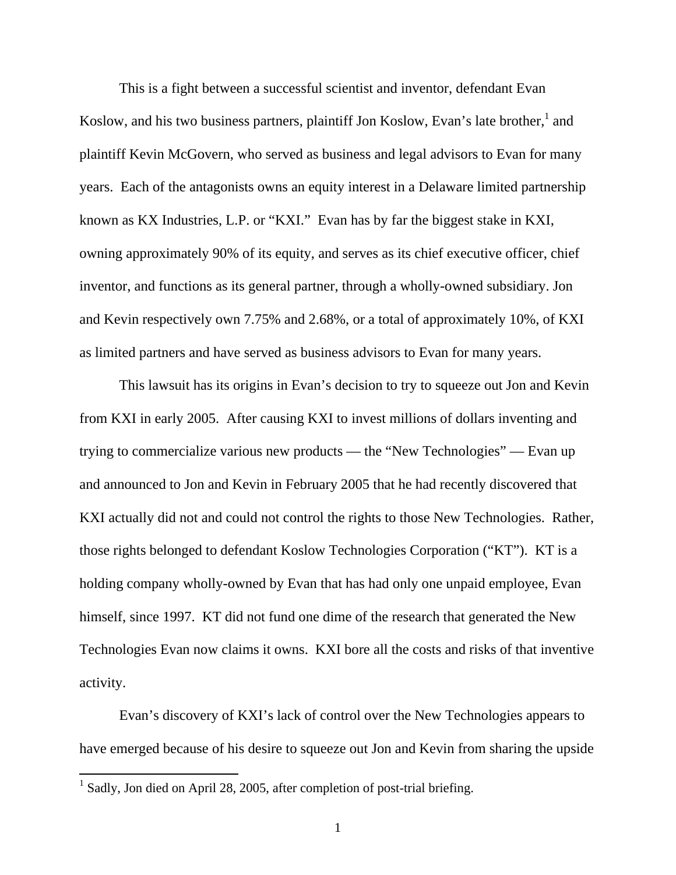This is a fight between a successful scientist and inventor, defendant Evan Koslow, and his two business partners, plaintiff Jon Koslow, Evan's late brother, $<sup>1</sup>$  and</sup> plaintiff Kevin McGovern, who served as business and legal advisors to Evan for many years. Each of the antagonists owns an equity interest in a Delaware limited partnership known as KX Industries, L.P. or "KXI." Evan has by far the biggest stake in KXI, owning approximately 90% of its equity, and serves as its chief executive officer, chief inventor, and functions as its general partner, through a wholly-owned subsidiary. Jon and Kevin respectively own 7.75% and 2.68%, or a total of approximately 10%, of KXI as limited partners and have served as business advisors to Evan for many years.

This lawsuit has its origins in Evan's decision to try to squeeze out Jon and Kevin from KXI in early 2005. After causing KXI to invest millions of dollars inventing and trying to commercialize various new products — the "New Technologies" — Evan up and announced to Jon and Kevin in February 2005 that he had recently discovered that KXI actually did not and could not control the rights to those New Technologies. Rather, those rights belonged to defendant Koslow Technologies Corporation ("KT"). KT is a holding company wholly-owned by Evan that has had only one unpaid employee, Evan himself, since 1997. KT did not fund one dime of the research that generated the New Technologies Evan now claims it owns. KXI bore all the costs and risks of that inventive activity.

Evan's discovery of KXI's lack of control over the New Technologies appears to have emerged because of his desire to squeeze out Jon and Kevin from sharing the upside

<sup>&</sup>lt;sup>1</sup> Sadly, Jon died on April 28, 2005, after completion of post-trial briefing.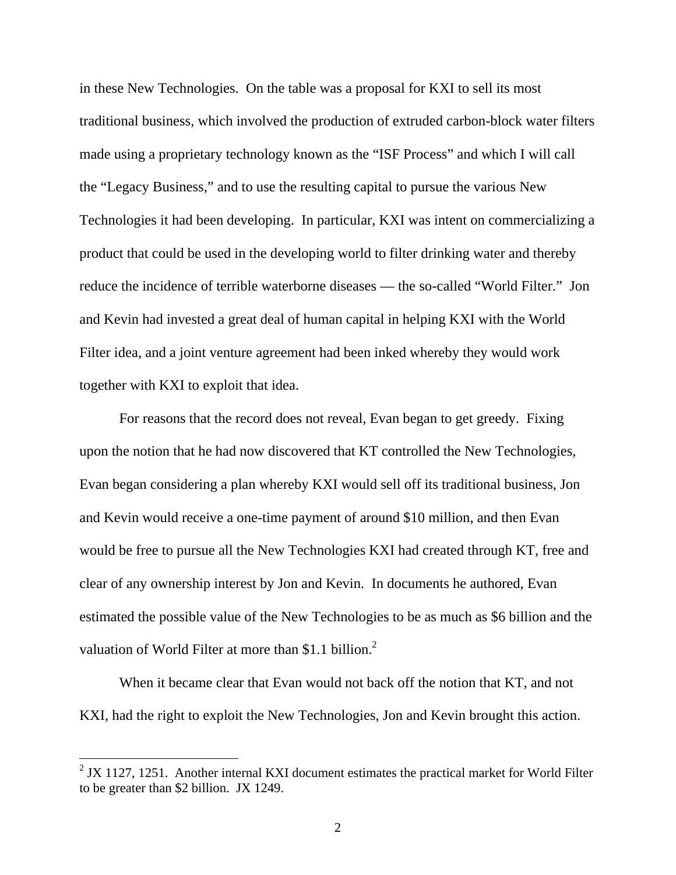in these New Technologies. On the table was a proposal for KXI to sell its most traditional business, which involved the production of extruded carbon-block water filters made using a proprietary technology known as the "ISF Process" and which I will call the "Legacy Business," and to use the resulting capital to pursue the various New Technologies it had been developing. In particular, KXI was intent on commercializing a product that could be used in the developing world to filter drinking water and thereby reduce the incidence of terrible waterborne diseases — the so-called "World Filter." Jon and Kevin had invested a great deal of human capital in helping KXI with the World Filter idea, and a joint venture agreement had been inked whereby they would work together with KXI to exploit that idea.

For reasons that the record does not reveal, Evan began to get greedy. Fixing upon the notion that he had now discovered that KT controlled the New Technologies, Evan began considering a plan whereby KXI would sell off its traditional business, Jon and Kevin would receive a one-time payment of around \$10 million, and then Evan would be free to pursue all the New Technologies KXI had created through KT, free and clear of any ownership interest by Jon and Kevin. In documents he authored, Evan estimated the possible value of the New Technologies to be as much as \$6 billion and the valuation of World Filter at more than \$1.1 billion.<sup>2</sup>

When it became clear that Evan would not back off the notion that KT, and not KXI, had the right to exploit the New Technologies, Jon and Kevin brought this action.

 $2$  JX 1127, 1251. Another internal KXI document estimates the practical market for World Filter to be greater than \$2 billion. JX 1249.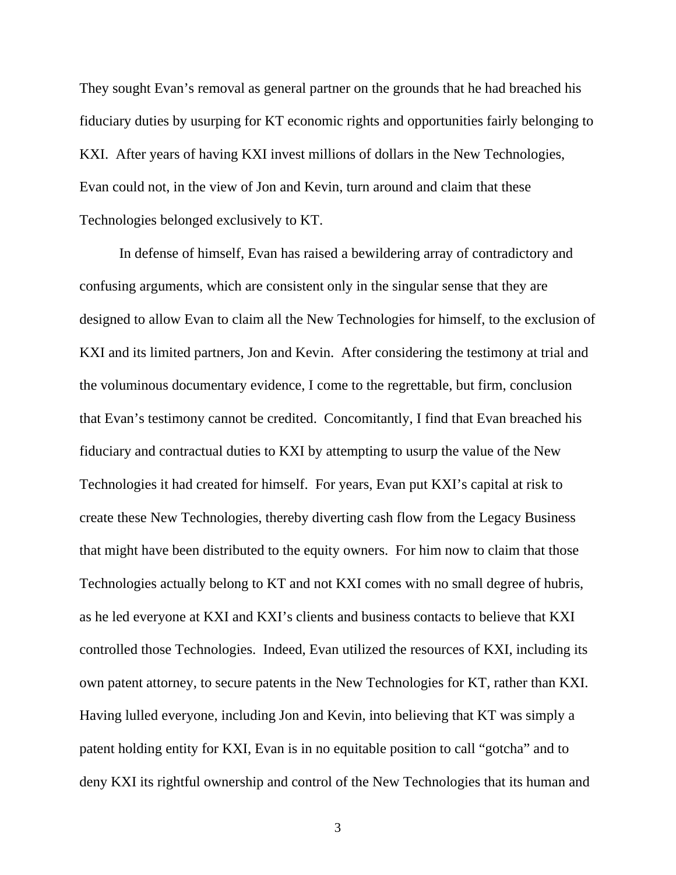They sought Evan's removal as general partner on the grounds that he had breached his fiduciary duties by usurping for KT economic rights and opportunities fairly belonging to KXI. After years of having KXI invest millions of dollars in the New Technologies, Evan could not, in the view of Jon and Kevin, turn around and claim that these Technologies belonged exclusively to KT.

In defense of himself, Evan has raised a bewildering array of contradictory and confusing arguments, which are consistent only in the singular sense that they are designed to allow Evan to claim all the New Technologies for himself, to the exclusion of KXI and its limited partners, Jon and Kevin. After considering the testimony at trial and the voluminous documentary evidence, I come to the regrettable, but firm, conclusion that Evan's testimony cannot be credited. Concomitantly, I find that Evan breached his fiduciary and contractual duties to KXI by attempting to usurp the value of the New Technologies it had created for himself. For years, Evan put KXI's capital at risk to create these New Technologies, thereby diverting cash flow from the Legacy Business that might have been distributed to the equity owners. For him now to claim that those Technologies actually belong to KT and not KXI comes with no small degree of hubris, as he led everyone at KXI and KXI's clients and business contacts to believe that KXI controlled those Technologies. Indeed, Evan utilized the resources of KXI, including its own patent attorney, to secure patents in the New Technologies for KT, rather than KXI. Having lulled everyone, including Jon and Kevin, into believing that KT was simply a patent holding entity for KXI, Evan is in no equitable position to call "gotcha" and to deny KXI its rightful ownership and control of the New Technologies that its human and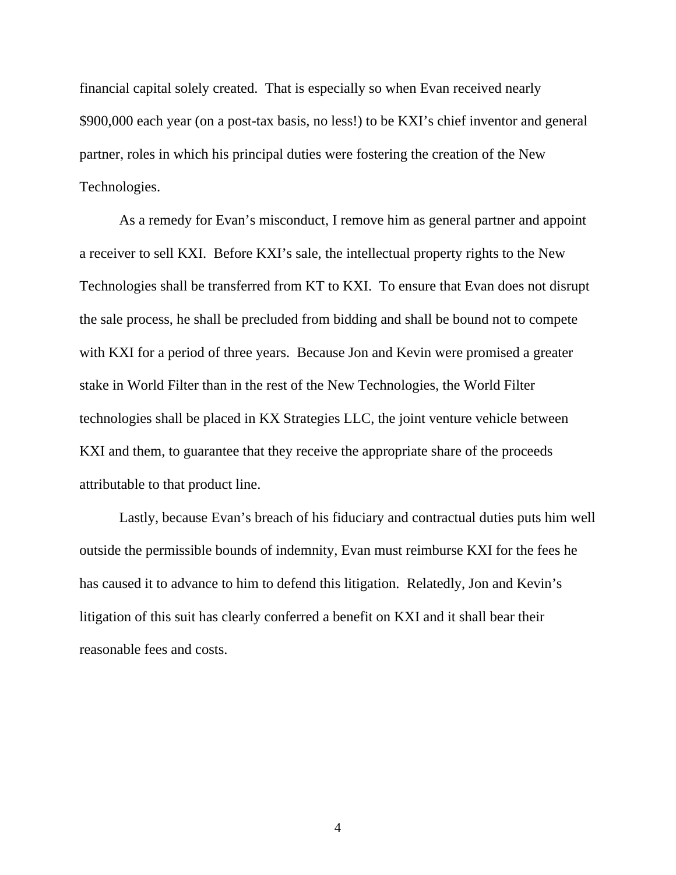financial capital solely created. That is especially so when Evan received nearly \$900,000 each year (on a post-tax basis, no less!) to be KXI's chief inventor and general partner, roles in which his principal duties were fostering the creation of the New Technologies.

As a remedy for Evan's misconduct, I remove him as general partner and appoint a receiver to sell KXI. Before KXI's sale, the intellectual property rights to the New Technologies shall be transferred from KT to KXI. To ensure that Evan does not disrupt the sale process, he shall be precluded from bidding and shall be bound not to compete with KXI for a period of three years. Because Jon and Kevin were promised a greater stake in World Filter than in the rest of the New Technologies, the World Filter technologies shall be placed in KX Strategies LLC, the joint venture vehicle between KXI and them, to guarantee that they receive the appropriate share of the proceeds attributable to that product line.

Lastly, because Evan's breach of his fiduciary and contractual duties puts him well outside the permissible bounds of indemnity, Evan must reimburse KXI for the fees he has caused it to advance to him to defend this litigation. Relatedly, Jon and Kevin's litigation of this suit has clearly conferred a benefit on KXI and it shall bear their reasonable fees and costs.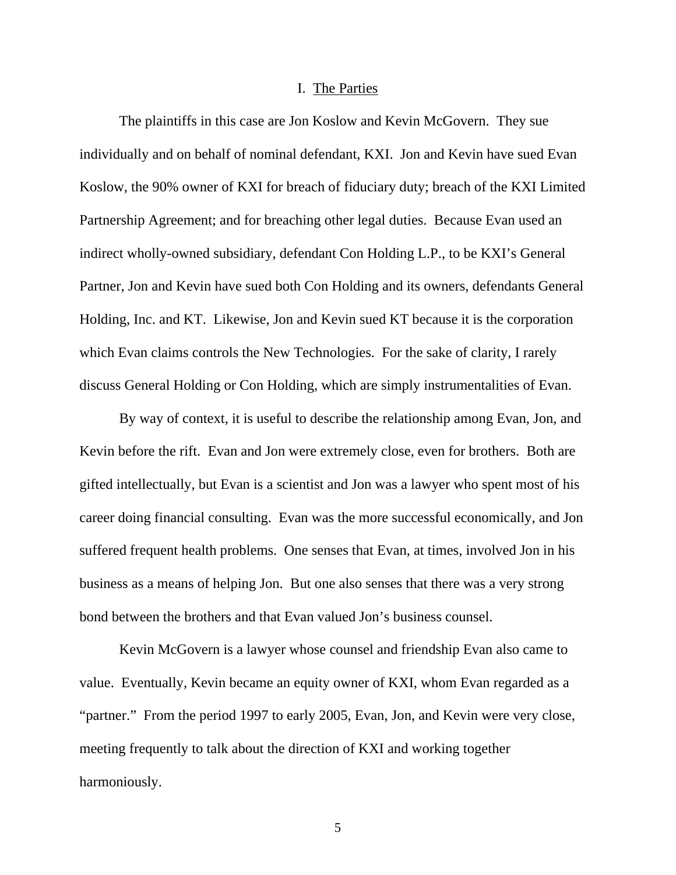#### I. The Parties

 The plaintiffs in this case are Jon Koslow and Kevin McGovern. They sue individually and on behalf of nominal defendant, KXI. Jon and Kevin have sued Evan Koslow, the 90% owner of KXI for breach of fiduciary duty; breach of the KXI Limited Partnership Agreement; and for breaching other legal duties. Because Evan used an indirect wholly-owned subsidiary, defendant Con Holding L.P., to be KXI's General Partner, Jon and Kevin have sued both Con Holding and its owners, defendants General Holding, Inc. and KT. Likewise, Jon and Kevin sued KT because it is the corporation which Evan claims controls the New Technologies. For the sake of clarity, I rarely discuss General Holding or Con Holding, which are simply instrumentalities of Evan.

 By way of context, it is useful to describe the relationship among Evan, Jon, and Kevin before the rift. Evan and Jon were extremely close, even for brothers. Both are gifted intellectually, but Evan is a scientist and Jon was a lawyer who spent most of his career doing financial consulting. Evan was the more successful economically, and Jon suffered frequent health problems. One senses that Evan, at times, involved Jon in his business as a means of helping Jon. But one also senses that there was a very strong bond between the brothers and that Evan valued Jon's business counsel.

 Kevin McGovern is a lawyer whose counsel and friendship Evan also came to value. Eventually, Kevin became an equity owner of KXI, whom Evan regarded as a "partner." From the period 1997 to early 2005, Evan, Jon, and Kevin were very close, meeting frequently to talk about the direction of KXI and working together harmoniously.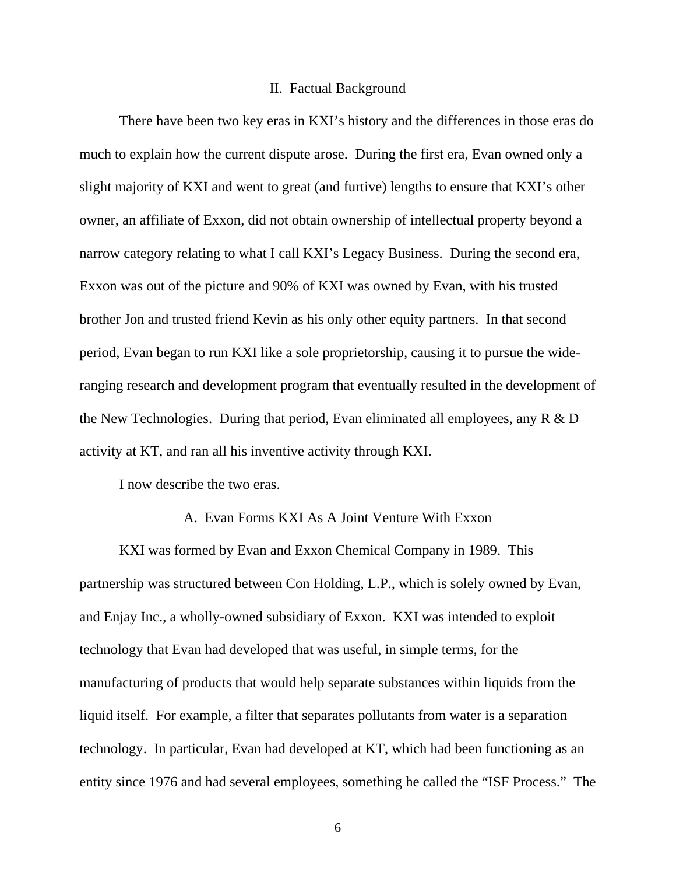#### II. Factual Background

There have been two key eras in KXI's history and the differences in those eras do much to explain how the current dispute arose. During the first era, Evan owned only a slight majority of KXI and went to great (and furtive) lengths to ensure that KXI's other owner, an affiliate of Exxon, did not obtain ownership of intellectual property beyond a narrow category relating to what I call KXI's Legacy Business. During the second era, Exxon was out of the picture and 90% of KXI was owned by Evan, with his trusted brother Jon and trusted friend Kevin as his only other equity partners. In that second period, Evan began to run KXI like a sole proprietorship, causing it to pursue the wideranging research and development program that eventually resulted in the development of the New Technologies. During that period, Evan eliminated all employees, any R & D activity at KT, and ran all his inventive activity through KXI.

I now describe the two eras.

#### A. Evan Forms KXI As A Joint Venture With Exxon

KXI was formed by Evan and Exxon Chemical Company in 1989. This partnership was structured between Con Holding, L.P., which is solely owned by Evan, and Enjay Inc., a wholly-owned subsidiary of Exxon. KXI was intended to exploit technology that Evan had developed that was useful, in simple terms, for the manufacturing of products that would help separate substances within liquids from the liquid itself. For example, a filter that separates pollutants from water is a separation technology. In particular, Evan had developed at KT, which had been functioning as an entity since 1976 and had several employees, something he called the "ISF Process." The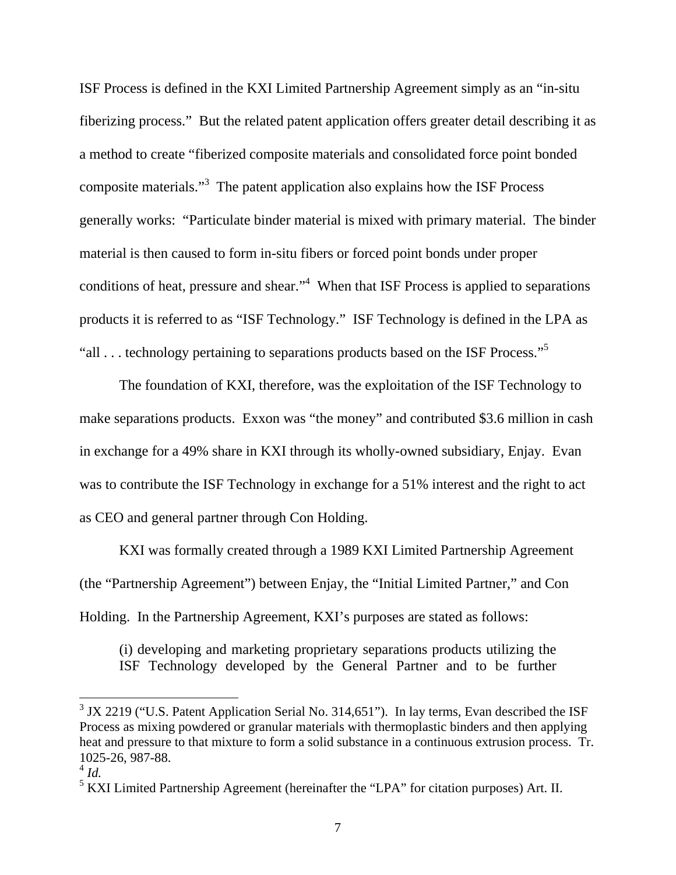ISF Process is defined in the KXI Limited Partnership Agreement simply as an "in-situ fiberizing process." But the related patent application offers greater detail describing it as a method to create "fiberized composite materials and consolidated force point bonded composite materials.<sup>3</sup> The patent application also explains how the ISF Process generally works: "Particulate binder material is mixed with primary material. The binder material is then caused to form in-situ fibers or forced point bonds under proper conditions of heat, pressure and shear."<sup>4</sup> When that ISF Process is applied to separations products it is referred to as "ISF Technology." ISF Technology is defined in the LPA as "all  $\ldots$  technology pertaining to separations products based on the ISF Process."<sup>5</sup>

The foundation of KXI, therefore, was the exploitation of the ISF Technology to make separations products. Exxon was "the money" and contributed \$3.6 million in cash in exchange for a 49% share in KXI through its wholly-owned subsidiary, Enjay. Evan was to contribute the ISF Technology in exchange for a 51% interest and the right to act as CEO and general partner through Con Holding.

KXI was formally created through a 1989 KXI Limited Partnership Agreement (the "Partnership Agreement") between Enjay, the "Initial Limited Partner," and Con Holding. In the Partnership Agreement, KXI's purposes are stated as follows:

(i) developing and marketing proprietary separations products utilizing the ISF Technology developed by the General Partner and to be further

<sup>&</sup>lt;sup>3</sup> JX 2219 ("U.S. Patent Application Serial No. 314,651"). In lay terms, Evan described the ISF Process as mixing powdered or granular materials with thermoplastic binders and then applying heat and pressure to that mixture to form a solid substance in a continuous extrusion process. Tr. 1025-26, 987-88.

 $^{4}$  *Id.* 

<sup>&</sup>lt;sup>5</sup> KXI Limited Partnership Agreement (hereinafter the "LPA" for citation purposes) Art. II.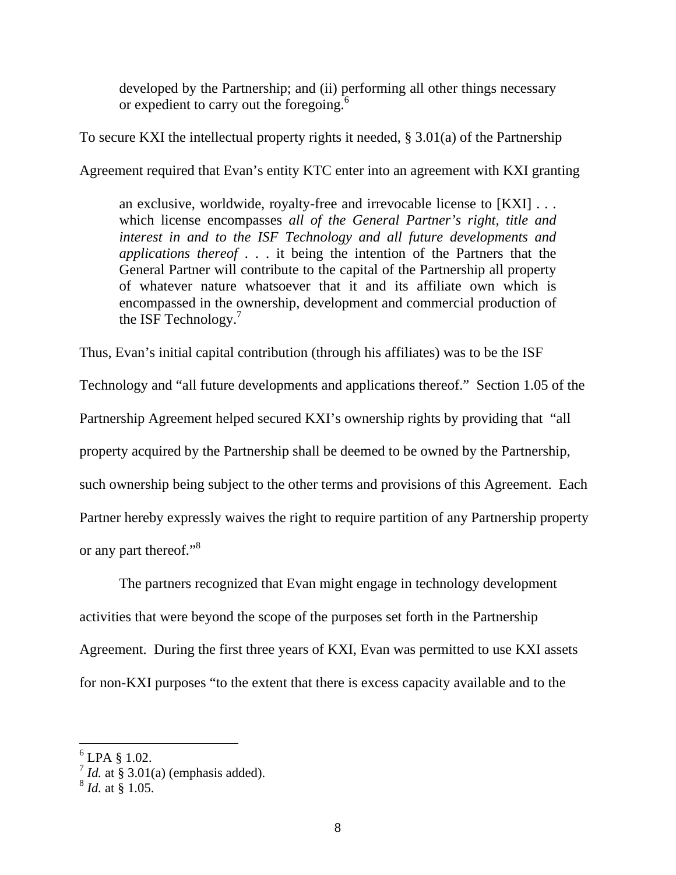developed by the Partnership; and (ii) performing all other things necessary or expedient to carry out the foregoing.<sup>6</sup>

To secure KXI the intellectual property rights it needed, § 3.01(a) of the Partnership Agreement required that Evan's entity KTC enter into an agreement with KXI granting

an exclusive, worldwide, royalty-free and irrevocable license to [KXI] . . . which license encompasses *all of the General Partner's right, title and interest in and to the ISF Technology and all future developments and applications thereof* . . . it being the intention of the Partners that the General Partner will contribute to the capital of the Partnership all property of whatever nature whatsoever that it and its affiliate own which is encompassed in the ownership, development and commercial production of the ISF Technology.7

Thus, Evan's initial capital contribution (through his affiliates) was to be the ISF

Technology and "all future developments and applications thereof." Section 1.05 of the Partnership Agreement helped secured KXI's ownership rights by providing that "all property acquired by the Partnership shall be deemed to be owned by the Partnership, such ownership being subject to the other terms and provisions of this Agreement. Each Partner hereby expressly waives the right to require partition of any Partnership property or any part thereof."8

 The partners recognized that Evan might engage in technology development activities that were beyond the scope of the purposes set forth in the Partnership Agreement. During the first three years of KXI, Evan was permitted to use KXI assets for non-KXI purposes "to the extent that there is excess capacity available and to the

 $<sup>6</sup>$  LPA § 1.02.</sup>

 $^7$  *Id.* at § 3.01(a) (emphasis added).

<sup>8</sup> *Id.* at § 1.05.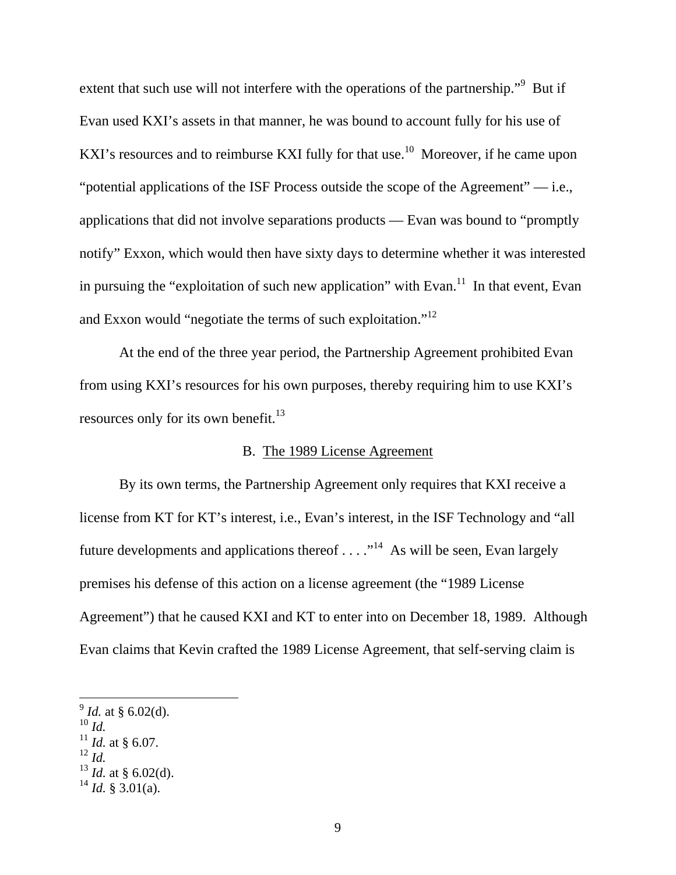extent that such use will not interfere with the operations of the partnership."<sup>9</sup> But if Evan used KXI's assets in that manner, he was bound to account fully for his use of KXI's resources and to reimburse KXI fully for that use.<sup>10</sup> Moreover, if he came upon "potential applications of the ISF Process outside the scope of the Agreement" — i.e., applications that did not involve separations products — Evan was bound to "promptly notify" Exxon, which would then have sixty days to determine whether it was interested in pursuing the "exploitation of such new application" with Evan.<sup>11</sup> In that event, Evan and Exxon would "negotiate the terms of such exploitation."12

 At the end of the three year period, the Partnership Agreement prohibited Evan from using KXI's resources for his own purposes, thereby requiring him to use KXI's resources only for its own benefit. $13$ 

## B. The 1989 License Agreement

 By its own terms, the Partnership Agreement only requires that KXI receive a license from KT for KT's interest, i.e., Evan's interest, in the ISF Technology and "all future developments and applications thereof  $\dots$ ."<sup>14</sup> As will be seen, Evan largely premises his defense of this action on a license agreement (the "1989 License Agreement") that he caused KXI and KT to enter into on December 18, 1989. Although Evan claims that Kevin crafted the 1989 License Agreement, that self-serving claim is

<sup>10</sup> *Id.* 

 $\overline{a}$ 

 $^{12}$  *Id.* 

 $^{9}$  *Id.* at § 6.02(d).

 $^{11}$  *Id.* at § 6.07.

 $^{13}$  *Id.* at § 6.02(d).

 $^{14}$  *Id.* § 3.01(a).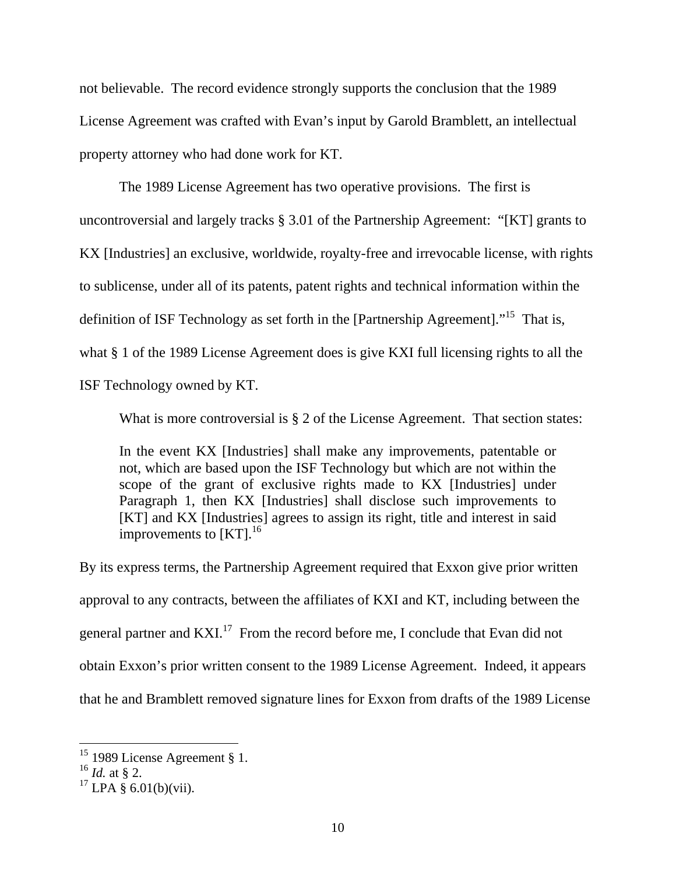not believable. The record evidence strongly supports the conclusion that the 1989 License Agreement was crafted with Evan's input by Garold Bramblett, an intellectual property attorney who had done work for KT.

 The 1989 License Agreement has two operative provisions. The first is uncontroversial and largely tracks § 3.01 of the Partnership Agreement: "[KT] grants to KX [Industries] an exclusive, worldwide, royalty-free and irrevocable license, with rights to sublicense, under all of its patents, patent rights and technical information within the definition of ISF Technology as set forth in the [Partnership Agreement]."15 That is, what § 1 of the 1989 License Agreement does is give KXI full licensing rights to all the ISF Technology owned by KT.

What is more controversial is § 2 of the License Agreement. That section states:

In the event KX [Industries] shall make any improvements, patentable or not, which are based upon the ISF Technology but which are not within the scope of the grant of exclusive rights made to KX [Industries] under Paragraph 1, then KX [Industries] shall disclose such improvements to [KT] and KX [Industries] agrees to assign its right, title and interest in said improvements to  $[KT]$ <sup>16</sup>

By its express terms, the Partnership Agreement required that Exxon give prior written approval to any contracts, between the affiliates of KXI and KT, including between the general partner and KXI.<sup>17</sup> From the record before me, I conclude that Evan did not obtain Exxon's prior written consent to the 1989 License Agreement. Indeed, it appears that he and Bramblett removed signature lines for Exxon from drafts of the 1989 License

 $15$  1989 License Agreement § 1.

<sup>16</sup> *Id.* at § 2.

 $17$  LPA  $\frac{8}{9}$  6.01(b)(vii).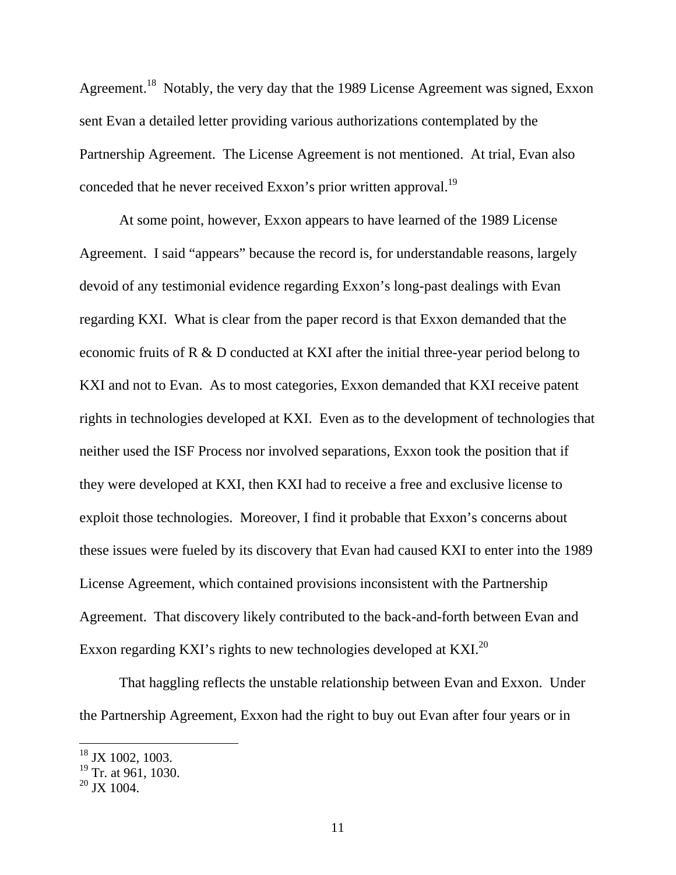Agreement.<sup>18</sup> Notably, the very day that the 1989 License Agreement was signed, Exxon sent Evan a detailed letter providing various authorizations contemplated by the Partnership Agreement. The License Agreement is not mentioned. At trial, Evan also conceded that he never received Exxon's prior written approval.<sup>19</sup>

 At some point, however, Exxon appears to have learned of the 1989 License Agreement. I said "appears" because the record is, for understandable reasons, largely devoid of any testimonial evidence regarding Exxon's long-past dealings with Evan regarding KXI. What is clear from the paper record is that Exxon demanded that the economic fruits of R & D conducted at KXI after the initial three-year period belong to KXI and not to Evan. As to most categories, Exxon demanded that KXI receive patent rights in technologies developed at KXI. Even as to the development of technologies that neither used the ISF Process nor involved separations, Exxon took the position that if they were developed at KXI, then KXI had to receive a free and exclusive license to exploit those technologies. Moreover, I find it probable that Exxon's concerns about these issues were fueled by its discovery that Evan had caused KXI to enter into the 1989 License Agreement, which contained provisions inconsistent with the Partnership Agreement. That discovery likely contributed to the back-and-forth between Evan and Exxon regarding KXI's rights to new technologies developed at KXI.<sup>20</sup>

 That haggling reflects the unstable relationship between Evan and Exxon. Under the Partnership Agreement, Exxon had the right to buy out Evan after four years or in

 $18$  JX 1002, 1003.

 $19$  Tr. at 961, 1030.

 $20$  JX 1004.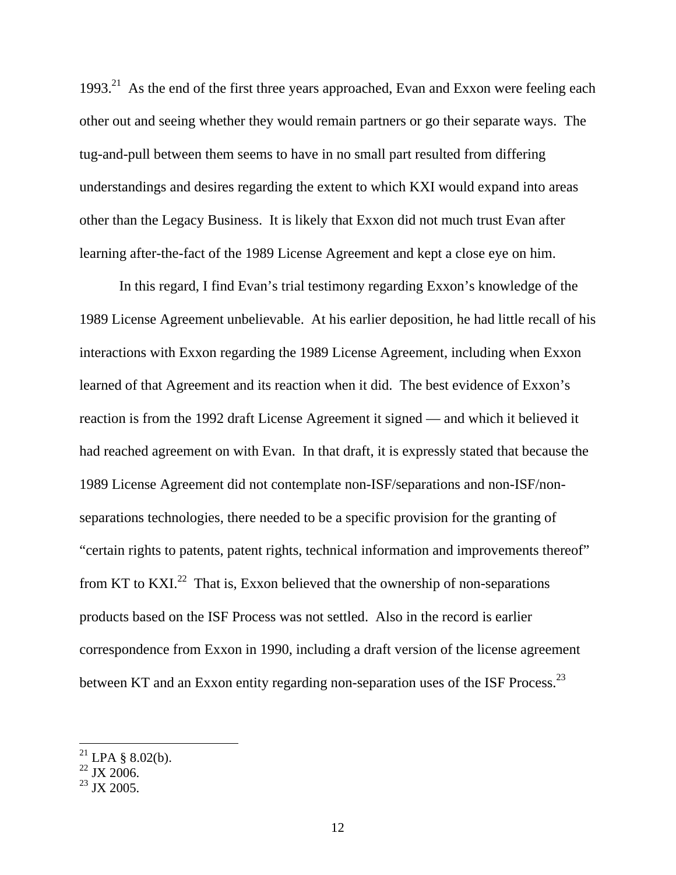1993.<sup>21</sup> As the end of the first three years approached, Evan and Exxon were feeling each other out and seeing whether they would remain partners or go their separate ways. The tug-and-pull between them seems to have in no small part resulted from differing understandings and desires regarding the extent to which KXI would expand into areas other than the Legacy Business. It is likely that Exxon did not much trust Evan after learning after-the-fact of the 1989 License Agreement and kept a close eye on him.

 In this regard, I find Evan's trial testimony regarding Exxon's knowledge of the 1989 License Agreement unbelievable. At his earlier deposition, he had little recall of his interactions with Exxon regarding the 1989 License Agreement, including when Exxon learned of that Agreement and its reaction when it did. The best evidence of Exxon's reaction is from the 1992 draft License Agreement it signed — and which it believed it had reached agreement on with Evan. In that draft, it is expressly stated that because the 1989 License Agreement did not contemplate non-ISF/separations and non-ISF/nonseparations technologies, there needed to be a specific provision for the granting of "certain rights to patents, patent rights, technical information and improvements thereof" from KT to KXI. $^{22}$  That is, Exxon believed that the ownership of non-separations products based on the ISF Process was not settled. Also in the record is earlier correspondence from Exxon in 1990, including a draft version of the license agreement between KT and an Exxon entity regarding non-separation uses of the ISF Process.<sup>23</sup>

<sup>&</sup>lt;sup>21</sup> LPA § 8.02(b).

 $22 \text{ JX} 2006.$ 

 $^{23}$  JX 2005.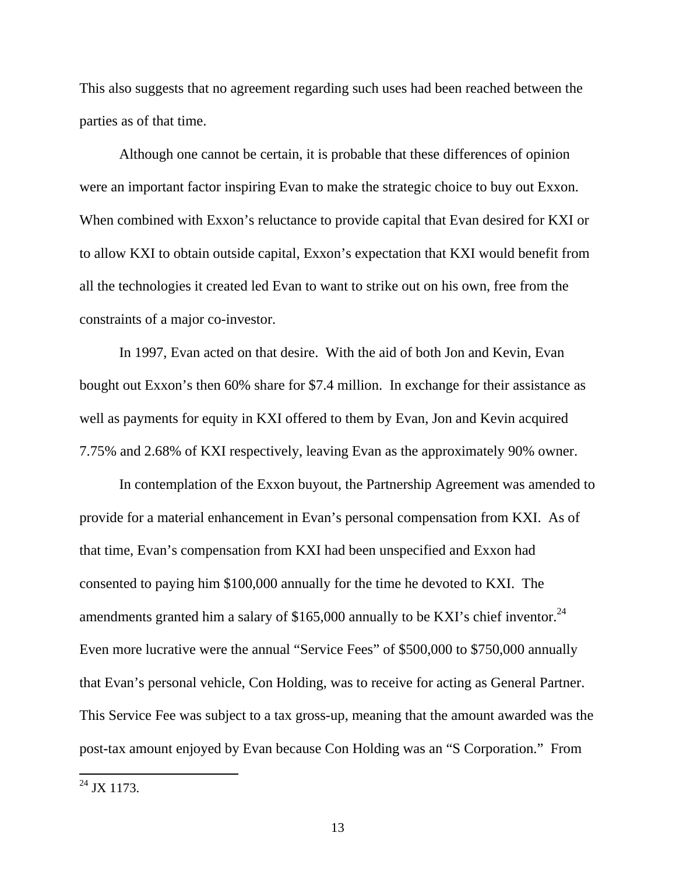This also suggests that no agreement regarding such uses had been reached between the parties as of that time.

 Although one cannot be certain, it is probable that these differences of opinion were an important factor inspiring Evan to make the strategic choice to buy out Exxon. When combined with Exxon's reluctance to provide capital that Evan desired for KXI or to allow KXI to obtain outside capital, Exxon's expectation that KXI would benefit from all the technologies it created led Evan to want to strike out on his own, free from the constraints of a major co-investor.

 In 1997, Evan acted on that desire. With the aid of both Jon and Kevin, Evan bought out Exxon's then 60% share for \$7.4 million. In exchange for their assistance as well as payments for equity in KXI offered to them by Evan, Jon and Kevin acquired 7.75% and 2.68% of KXI respectively, leaving Evan as the approximately 90% owner.

 In contemplation of the Exxon buyout, the Partnership Agreement was amended to provide for a material enhancement in Evan's personal compensation from KXI. As of that time, Evan's compensation from KXI had been unspecified and Exxon had consented to paying him \$100,000 annually for the time he devoted to KXI. The amendments granted him a salary of \$165,000 annually to be KXI's chief inventor.<sup>24</sup> Even more lucrative were the annual "Service Fees" of \$500,000 to \$750,000 annually that Evan's personal vehicle, Con Holding, was to receive for acting as General Partner. This Service Fee was subject to a tax gross-up, meaning that the amount awarded was the post-tax amount enjoyed by Evan because Con Holding was an "S Corporation." From

 $^{24}$  JX 1173.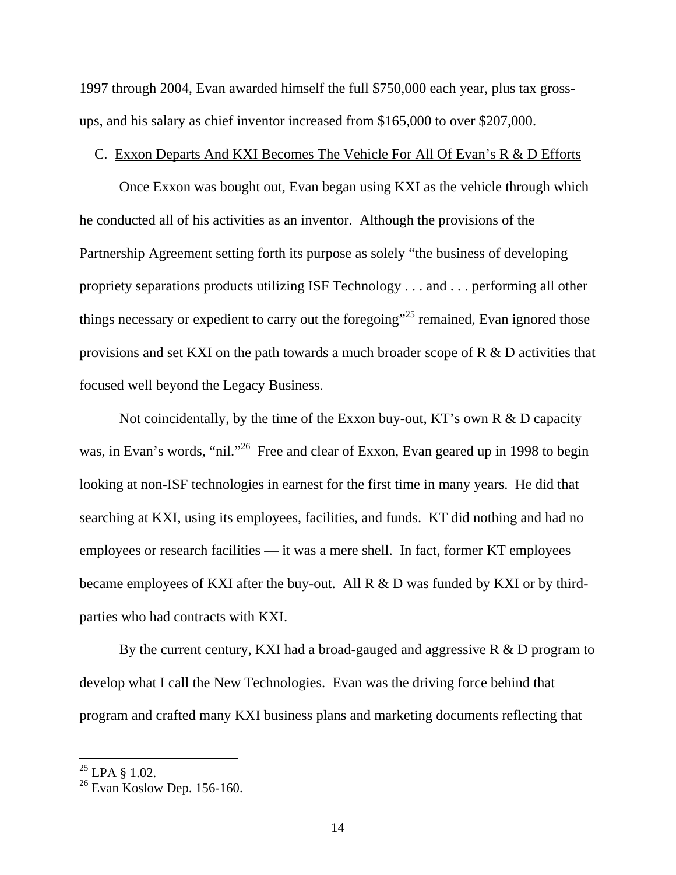1997 through 2004, Evan awarded himself the full \$750,000 each year, plus tax grossups, and his salary as chief inventor increased from \$165,000 to over \$207,000.

#### C. Exxon Departs And KXI Becomes The Vehicle For All Of Evan's R & D Efforts

 Once Exxon was bought out, Evan began using KXI as the vehicle through which he conducted all of his activities as an inventor. Although the provisions of the Partnership Agreement setting forth its purpose as solely "the business of developing propriety separations products utilizing ISF Technology . . . and . . . performing all other things necessary or expedient to carry out the foregoing"<sup>25</sup> remained, Evan ignored those provisions and set KXI on the path towards a much broader scope of R & D activities that focused well beyond the Legacy Business.

Not coincidentally, by the time of the Exxon buy-out, KT's own R & D capacity was, in Evan's words, "nil."<sup>26</sup> Free and clear of Exxon, Evan geared up in 1998 to begin looking at non-ISF technologies in earnest for the first time in many years. He did that searching at KXI, using its employees, facilities, and funds. KT did nothing and had no employees or research facilities — it was a mere shell. In fact, former KT employees became employees of KXI after the buy-out. All R & D was funded by KXI or by thirdparties who had contracts with KXI.

By the current century, KXI had a broad-gauged and aggressive  $R \& D$  program to develop what I call the New Technologies. Evan was the driving force behind that program and crafted many KXI business plans and marketing documents reflecting that

 $^{25}$  LPA § 1.02.

 $26$  Evan Koslow Dep. 156-160.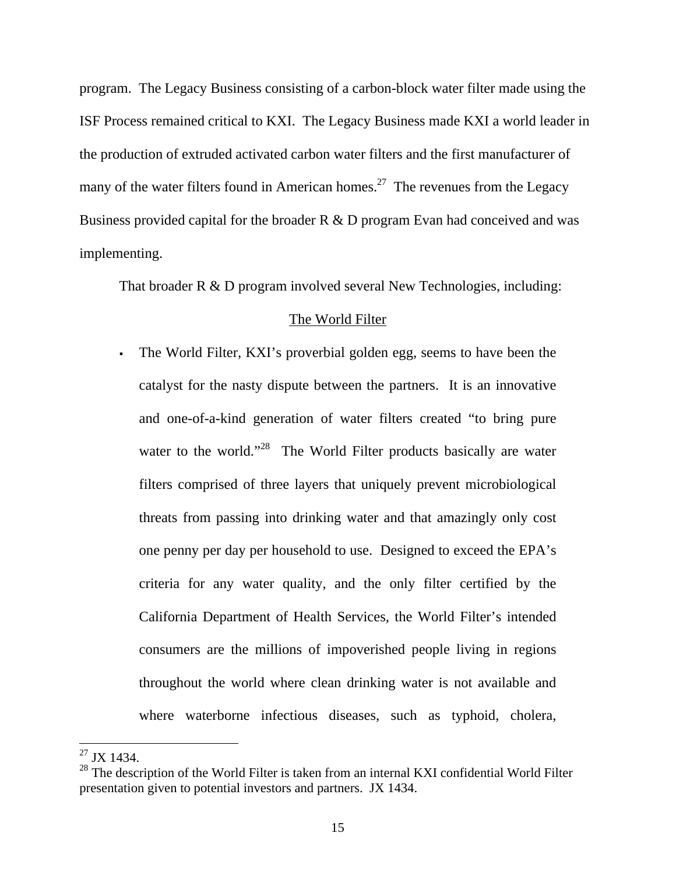program. The Legacy Business consisting of a carbon-block water filter made using the ISF Process remained critical to KXI. The Legacy Business made KXI a world leader in the production of extruded activated carbon water filters and the first manufacturer of many of the water filters found in American homes.<sup>27</sup> The revenues from the Legacy Business provided capital for the broader R & D program Evan had conceived and was implementing.

That broader R & D program involved several New Technologies, including:

# The World Filter

 The World Filter, KXI's proverbial golden egg, seems to have been the catalyst for the nasty dispute between the partners. It is an innovative and one-of-a-kind generation of water filters created "to bring pure water to the world."<sup>28</sup> The World Filter products basically are water filters comprised of three layers that uniquely prevent microbiological threats from passing into drinking water and that amazingly only cost one penny per day per household to use. Designed to exceed the EPA's criteria for any water quality, and the only filter certified by the California Department of Health Services, the World Filter's intended consumers are the millions of impoverished people living in regions throughout the world where clean drinking water is not available and where waterborne infectious diseases, such as typhoid, cholera,

 $^{27}$  JX 1434.

 $^{28}$  The description of the World Filter is taken from an internal KXI confidential World Filter presentation given to potential investors and partners. JX 1434.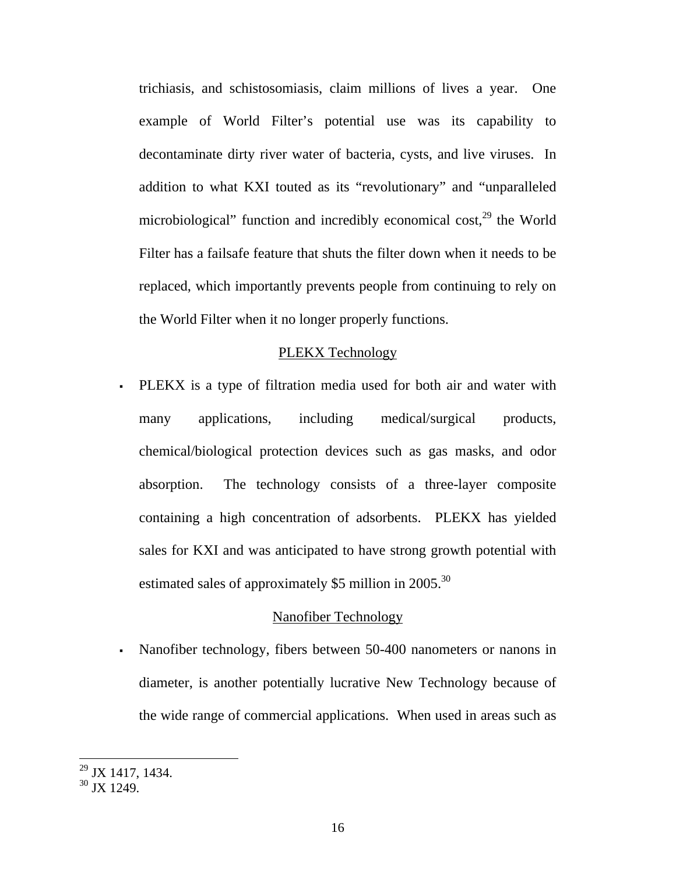trichiasis, and schistosomiasis, claim millions of lives a year. One example of World Filter's potential use was its capability to decontaminate dirty river water of bacteria, cysts, and live viruses. In addition to what KXI touted as its "revolutionary" and "unparalleled microbiological" function and incredibly economical cost, $^{29}$  the World Filter has a failsafe feature that shuts the filter down when it needs to be replaced, which importantly prevents people from continuing to rely on the World Filter when it no longer properly functions.

## PLEKX Technology

 PLEKX is a type of filtration media used for both air and water with many applications, including medical/surgical products, chemical/biological protection devices such as gas masks, and odor absorption. The technology consists of a three-layer composite containing a high concentration of adsorbents. PLEKX has yielded sales for KXI and was anticipated to have strong growth potential with estimated sales of approximately \$5 million in 2005.<sup>30</sup>

## Nanofiber Technology

 Nanofiber technology, fibers between 50-400 nanometers or nanons in diameter, is another potentially lucrative New Technology because of the wide range of commercial applications. When used in areas such as

 $^{29}$  JX 1417, 1434.

 $30$  JX 1249.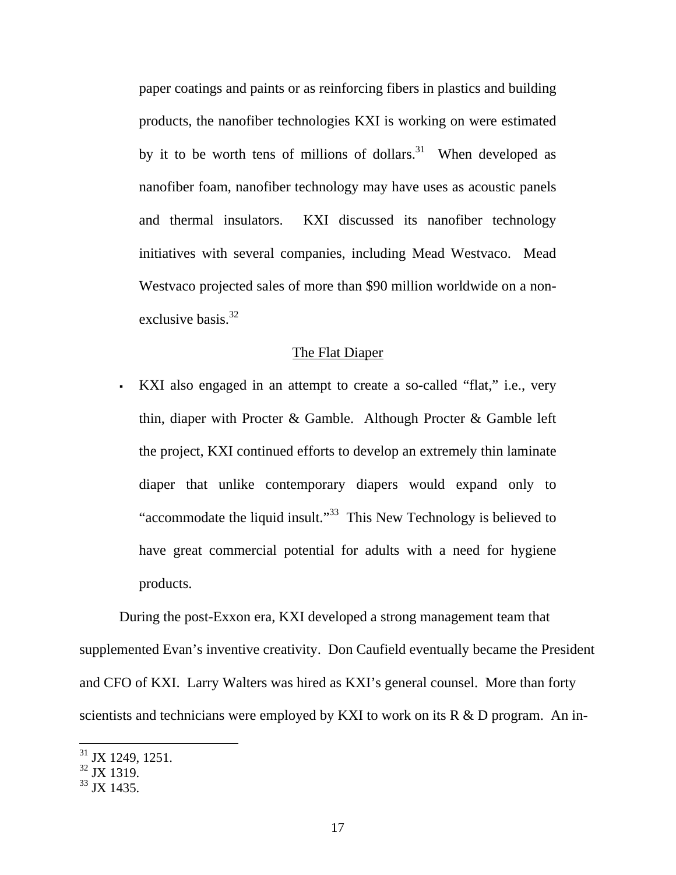paper coatings and paints or as reinforcing fibers in plastics and building products, the nanofiber technologies KXI is working on were estimated by it to be worth tens of millions of dollars.<sup>31</sup> When developed as nanofiber foam, nanofiber technology may have uses as acoustic panels and thermal insulators. KXI discussed its nanofiber technology initiatives with several companies, including Mead Westvaco. Mead Westvaco projected sales of more than \$90 million worldwide on a nonexclusive basis. $32$ 

## The Flat Diaper

 KXI also engaged in an attempt to create a so-called "flat," i.e., very thin, diaper with Procter & Gamble. Although Procter & Gamble left the project, KXI continued efforts to develop an extremely thin laminate diaper that unlike contemporary diapers would expand only to "accommodate the liquid insult."33 This New Technology is believed to have great commercial potential for adults with a need for hygiene products.

 During the post-Exxon era, KXI developed a strong management team that supplemented Evan's inventive creativity. Don Caufield eventually became the President and CFO of KXI. Larry Walters was hired as KXI's general counsel. More than forty scientists and technicians were employed by KXI to work on its R & D program. An in-

 $31$  JX 1249, 1251.

 $32$  JX 1319.

 $33$  JX 1435.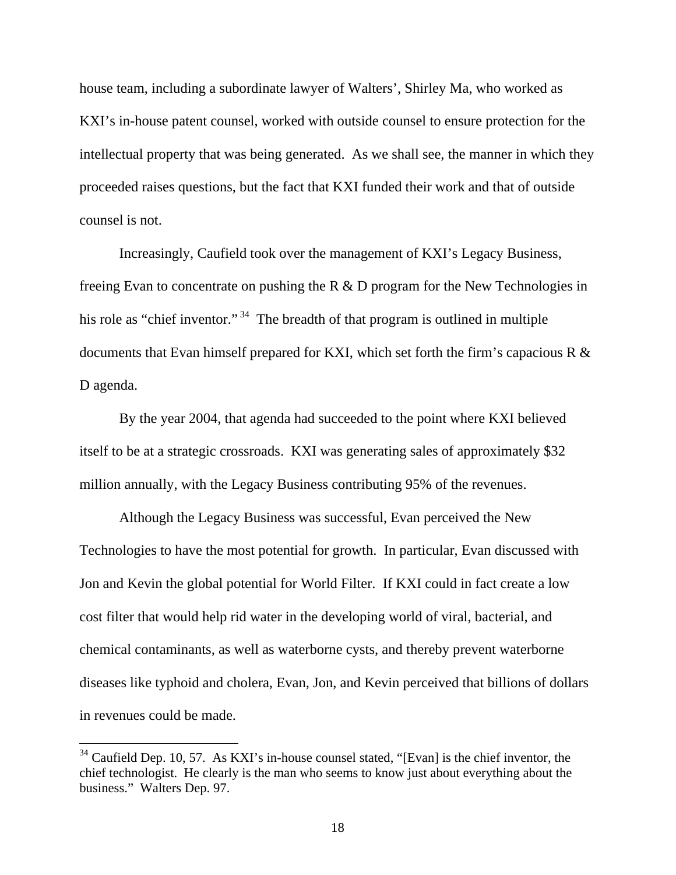house team, including a subordinate lawyer of Walters', Shirley Ma, who worked as KXI's in-house patent counsel, worked with outside counsel to ensure protection for the intellectual property that was being generated. As we shall see, the manner in which they proceeded raises questions, but the fact that KXI funded their work and that of outside counsel is not.

 Increasingly, Caufield took over the management of KXI's Legacy Business, freeing Evan to concentrate on pushing the R & D program for the New Technologies in his role as "chief inventor."<sup>34</sup> The breadth of that program is outlined in multiple documents that Evan himself prepared for KXI, which set forth the firm's capacious R & D agenda.

 By the year 2004, that agenda had succeeded to the point where KXI believed itself to be at a strategic crossroads. KXI was generating sales of approximately \$32 million annually, with the Legacy Business contributing 95% of the revenues.

 Although the Legacy Business was successful, Evan perceived the New Technologies to have the most potential for growth. In particular, Evan discussed with Jon and Kevin the global potential for World Filter. If KXI could in fact create a low cost filter that would help rid water in the developing world of viral, bacterial, and chemical contaminants, as well as waterborne cysts, and thereby prevent waterborne diseases like typhoid and cholera, Evan, Jon, and Kevin perceived that billions of dollars in revenues could be made.

 $34$  Caufield Dep. 10, 57. As KXI's in-house counsel stated, "[Evan] is the chief inventor, the chief technologist. He clearly is the man who seems to know just about everything about the business." Walters Dep. 97.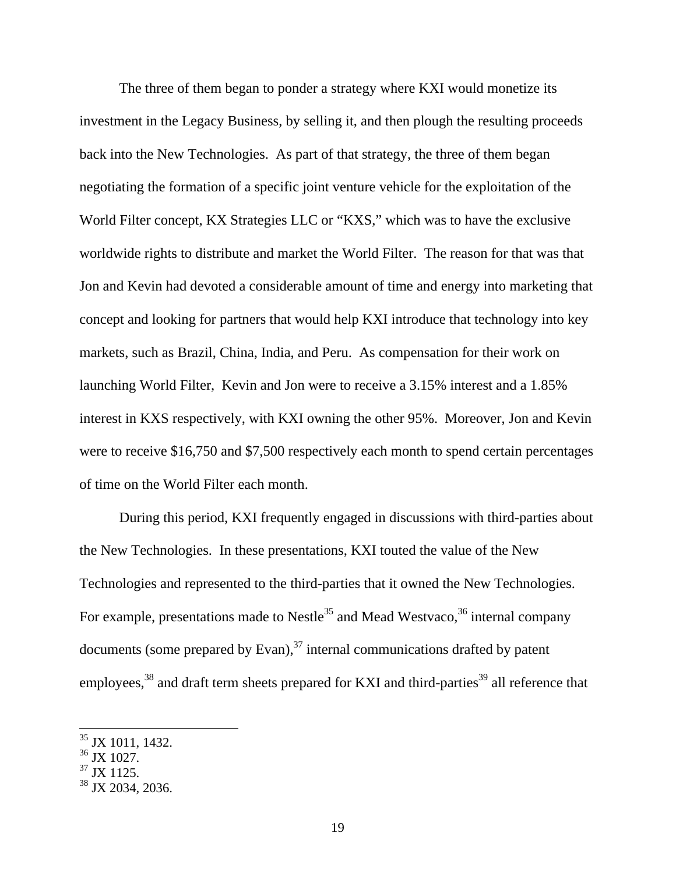The three of them began to ponder a strategy where KXI would monetize its investment in the Legacy Business, by selling it, and then plough the resulting proceeds back into the New Technologies. As part of that strategy, the three of them began negotiating the formation of a specific joint venture vehicle for the exploitation of the World Filter concept, KX Strategies LLC or "KXS," which was to have the exclusive worldwide rights to distribute and market the World Filter. The reason for that was that Jon and Kevin had devoted a considerable amount of time and energy into marketing that concept and looking for partners that would help KXI introduce that technology into key markets, such as Brazil, China, India, and Peru. As compensation for their work on launching World Filter, Kevin and Jon were to receive a 3.15% interest and a 1.85% interest in KXS respectively, with KXI owning the other 95%. Moreover, Jon and Kevin were to receive \$16,750 and \$7,500 respectively each month to spend certain percentages of time on the World Filter each month.

During this period, KXI frequently engaged in discussions with third-parties about the New Technologies. In these presentations, KXI touted the value of the New Technologies and represented to the third-parties that it owned the New Technologies. For example, presentations made to Nestle<sup>35</sup> and Mead Westvaco,  $36$  internal company documents (some prepared by Evan), $37$  internal communications drafted by patent employees,<sup>38</sup> and draft term sheets prepared for KXI and third-parties<sup>39</sup> all reference that

<sup>&</sup>lt;sup>35</sup> JX 1011, 1432.

<sup>36</sup> JX 1027.

 $37$  JX 1125.

 $38$  JX 2034, 2036.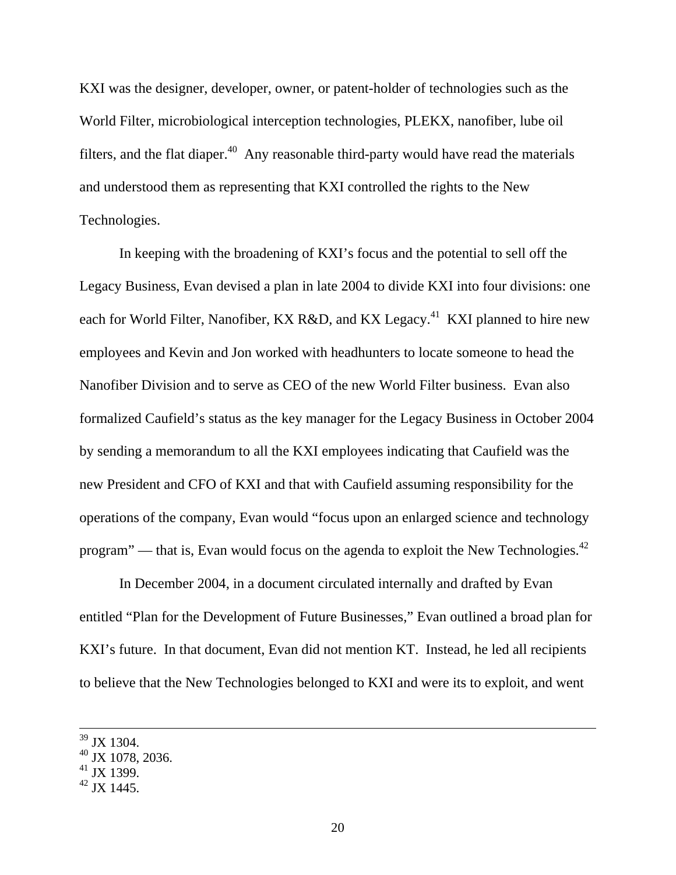KXI was the designer, developer, owner, or patent-holder of technologies such as the World Filter, microbiological interception technologies, PLEKX, nanofiber, lube oil filters, and the flat diaper.<sup>40</sup> Any reasonable third-party would have read the materials and understood them as representing that KXI controlled the rights to the New Technologies.

In keeping with the broadening of KXI's focus and the potential to sell off the Legacy Business, Evan devised a plan in late 2004 to divide KXI into four divisions: one each for World Filter, Nanofiber, KX R&D, and KX Legacy.<sup>41</sup> KXI planned to hire new employees and Kevin and Jon worked with headhunters to locate someone to head the Nanofiber Division and to serve as CEO of the new World Filter business. Evan also formalized Caufield's status as the key manager for the Legacy Business in October 2004 by sending a memorandum to all the KXI employees indicating that Caufield was the new President and CFO of KXI and that with Caufield assuming responsibility for the operations of the company, Evan would "focus upon an enlarged science and technology program" — that is, Evan would focus on the agenda to exploit the New Technologies. $42$ 

In December 2004, in a document circulated internally and drafted by Evan entitled "Plan for the Development of Future Businesses," Evan outlined a broad plan for KXI's future. In that document, Evan did not mention KT. Instead, he led all recipients to believe that the New Technologies belonged to KXI and were its to exploit, and went

<sup>&</sup>lt;sup>39</sup> JX 1304.

 $40$  JX 1078, 2036.

 $41$  JX 1399.

 $^{42}$  JX 1445.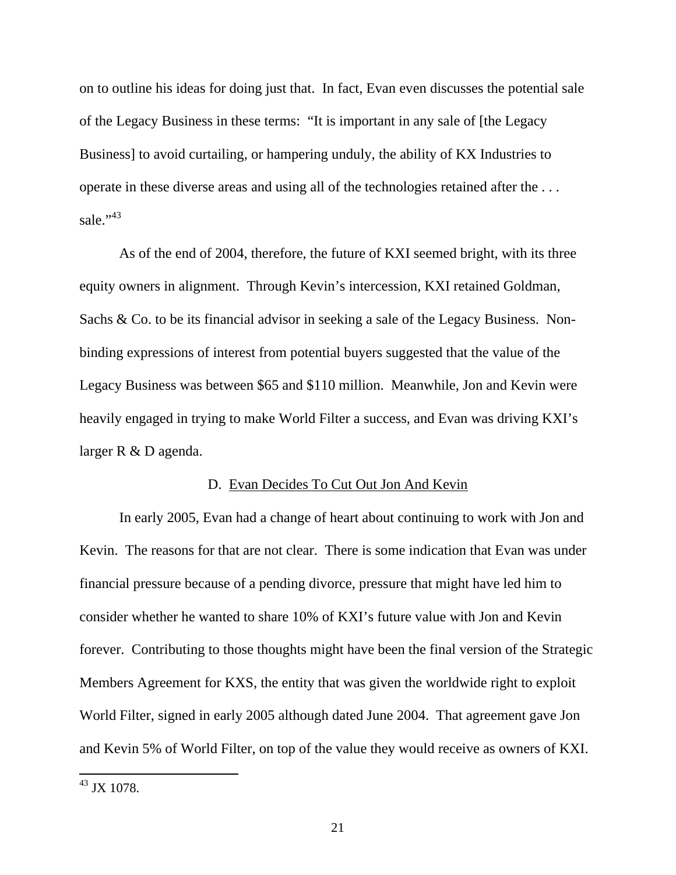on to outline his ideas for doing just that. In fact, Evan even discusses the potential sale of the Legacy Business in these terms: "It is important in any sale of [the Legacy Business] to avoid curtailing, or hampering unduly, the ability of KX Industries to operate in these diverse areas and using all of the technologies retained after the . . . sale." $43$ 

As of the end of 2004, therefore, the future of KXI seemed bright, with its three equity owners in alignment. Through Kevin's intercession, KXI retained Goldman, Sachs & Co. to be its financial advisor in seeking a sale of the Legacy Business. Nonbinding expressions of interest from potential buyers suggested that the value of the Legacy Business was between \$65 and \$110 million. Meanwhile, Jon and Kevin were heavily engaged in trying to make World Filter a success, and Evan was driving KXI's larger R & D agenda.

#### D. Evan Decides To Cut Out Jon And Kevin

In early 2005, Evan had a change of heart about continuing to work with Jon and Kevin. The reasons for that are not clear. There is some indication that Evan was under financial pressure because of a pending divorce, pressure that might have led him to consider whether he wanted to share 10% of KXI's future value with Jon and Kevin forever. Contributing to those thoughts might have been the final version of the Strategic Members Agreement for KXS, the entity that was given the worldwide right to exploit World Filter, signed in early 2005 although dated June 2004. That agreement gave Jon and Kevin 5% of World Filter, on top of the value they would receive as owners of KXI.

 $^{43}$  JX 1078.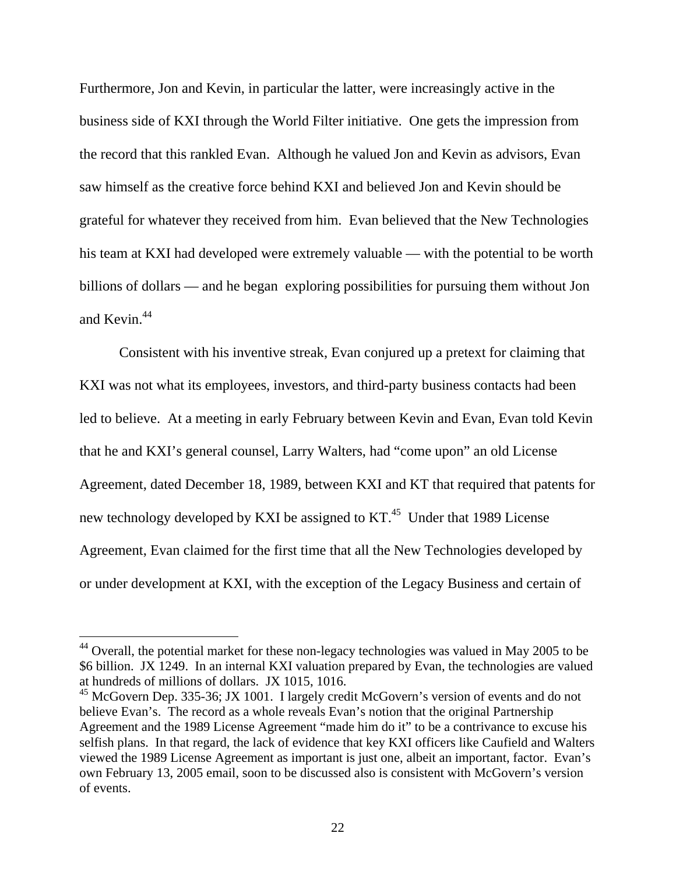Furthermore, Jon and Kevin, in particular the latter, were increasingly active in the business side of KXI through the World Filter initiative. One gets the impression from the record that this rankled Evan. Although he valued Jon and Kevin as advisors, Evan saw himself as the creative force behind KXI and believed Jon and Kevin should be grateful for whatever they received from him. Evan believed that the New Technologies his team at KXI had developed were extremely valuable — with the potential to be worth billions of dollars — and he began exploring possibilities for pursuing them without Jon and Kevin.<sup>44</sup>

Consistent with his inventive streak, Evan conjured up a pretext for claiming that KXI was not what its employees, investors, and third-party business contacts had been led to believe. At a meeting in early February between Kevin and Evan, Evan told Kevin that he and KXI's general counsel, Larry Walters, had "come upon" an old License Agreement, dated December 18, 1989, between KXI and KT that required that patents for new technology developed by KXI be assigned to  $KT<sup>45</sup>$  Under that 1989 License Agreement, Evan claimed for the first time that all the New Technologies developed by or under development at KXI, with the exception of the Legacy Business and certain of

 $44$  Overall, the potential market for these non-legacy technologies was valued in May 2005 to be \$6 billion. JX 1249. In an internal KXI valuation prepared by Evan, the technologies are valued at hundreds of millions of dollars. JX 1015, 1016.

 $^{45}$  McGovern Dep. 335-36; JX 1001. I largely credit McGovern's version of events and do not believe Evan's. The record as a whole reveals Evan's notion that the original Partnership Agreement and the 1989 License Agreement "made him do it" to be a contrivance to excuse his selfish plans. In that regard, the lack of evidence that key KXI officers like Caufield and Walters viewed the 1989 License Agreement as important is just one, albeit an important, factor. Evan's own February 13, 2005 email, soon to be discussed also is consistent with McGovern's version of events.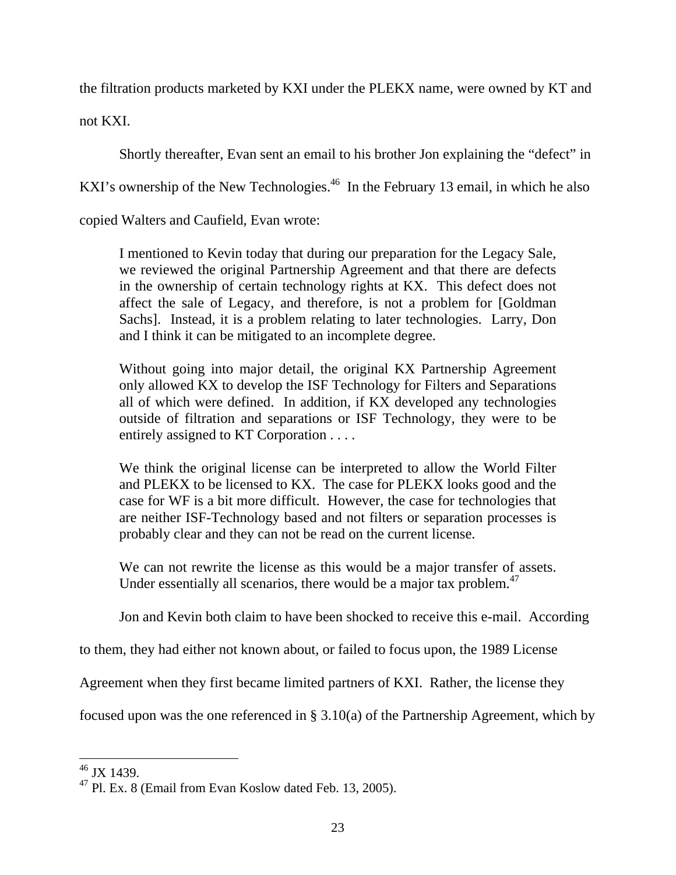the filtration products marketed by KXI under the PLEKX name, were owned by KT and not KXI.

Shortly thereafter, Evan sent an email to his brother Jon explaining the "defect" in

KXI's ownership of the New Technologies.<sup>46</sup> In the February 13 email, in which he also

copied Walters and Caufield, Evan wrote:

I mentioned to Kevin today that during our preparation for the Legacy Sale, we reviewed the original Partnership Agreement and that there are defects in the ownership of certain technology rights at KX. This defect does not affect the sale of Legacy, and therefore, is not a problem for [Goldman Sachs]. Instead, it is a problem relating to later technologies. Larry, Don and I think it can be mitigated to an incomplete degree.

Without going into major detail, the original KX Partnership Agreement only allowed KX to develop the ISF Technology for Filters and Separations all of which were defined. In addition, if KX developed any technologies outside of filtration and separations or ISF Technology, they were to be entirely assigned to KT Corporation . . . .

We think the original license can be interpreted to allow the World Filter and PLEKX to be licensed to KX. The case for PLEKX looks good and the case for WF is a bit more difficult. However, the case for technologies that are neither ISF-Technology based and not filters or separation processes is probably clear and they can not be read on the current license.

We can not rewrite the license as this would be a major transfer of assets. Under essentially all scenarios, there would be a major tax problem.<sup>47</sup>

Jon and Kevin both claim to have been shocked to receive this e-mail. According

to them, they had either not known about, or failed to focus upon, the 1989 License

Agreement when they first became limited partners of KXI. Rather, the license they

focused upon was the one referenced in § 3.10(a) of the Partnership Agreement, which by

 $\overline{a}$  $46$  JX 1439.

<sup>47</sup> Pl. Ex. 8 (Email from Evan Koslow dated Feb. 13, 2005).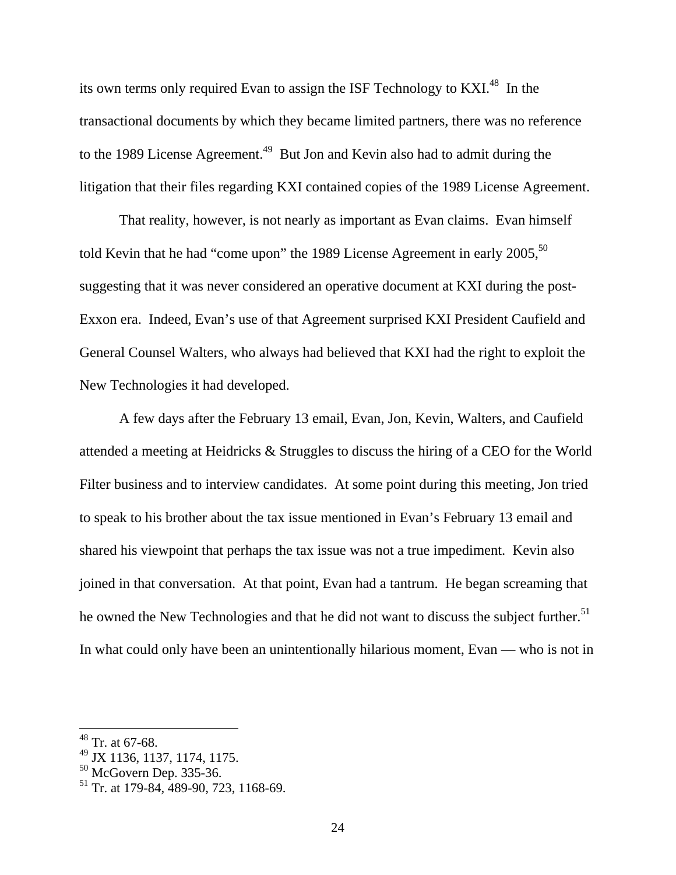its own terms only required Evan to assign the ISF Technology to KXI.<sup>48</sup> In the transactional documents by which they became limited partners, there was no reference to the 1989 License Agreement.<sup>49</sup> But Jon and Kevin also had to admit during the litigation that their files regarding KXI contained copies of the 1989 License Agreement.

 That reality, however, is not nearly as important as Evan claims. Evan himself told Kevin that he had "come upon" the 1989 License Agreement in early  $2005$ ,  $50$ suggesting that it was never considered an operative document at KXI during the post-Exxon era. Indeed, Evan's use of that Agreement surprised KXI President Caufield and General Counsel Walters, who always had believed that KXI had the right to exploit the New Technologies it had developed.

 A few days after the February 13 email, Evan, Jon, Kevin, Walters, and Caufield attended a meeting at Heidricks & Struggles to discuss the hiring of a CEO for the World Filter business and to interview candidates. At some point during this meeting, Jon tried to speak to his brother about the tax issue mentioned in Evan's February 13 email and shared his viewpoint that perhaps the tax issue was not a true impediment. Kevin also joined in that conversation. At that point, Evan had a tantrum. He began screaming that he owned the New Technologies and that he did not want to discuss the subject further.<sup>51</sup> In what could only have been an unintentionally hilarious moment, Evan — who is not in

 $48$  Tr. at 67-68.

<sup>49</sup> JX 1136, 1137, 1174, 1175.

 $50$  McGovern Dep. 335-36.

<sup>51</sup> Tr. at 179-84, 489-90, 723, 1168-69.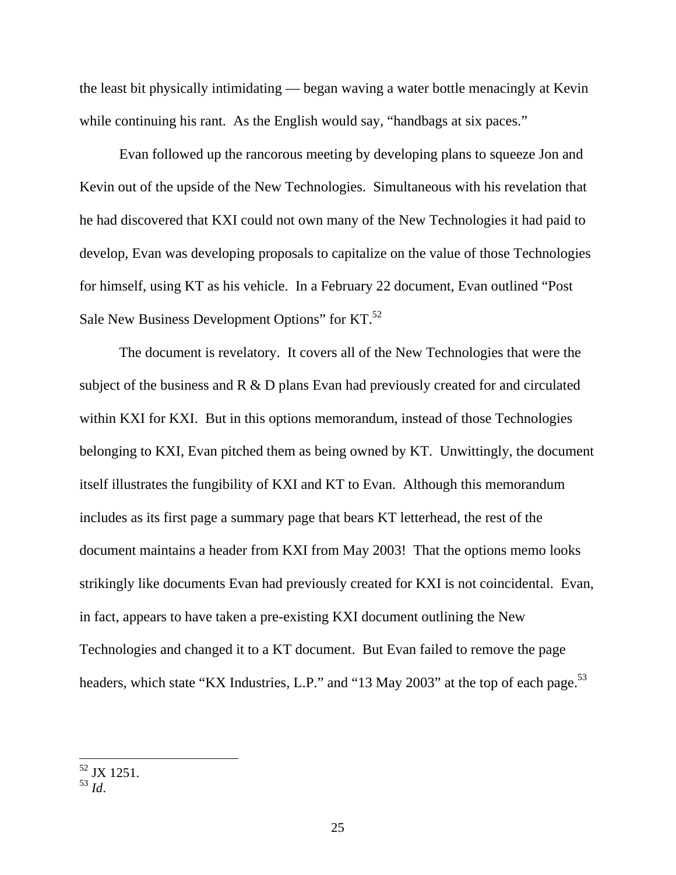the least bit physically intimidating — began waving a water bottle menacingly at Kevin while continuing his rant. As the English would say, "handbags at six paces."

 Evan followed up the rancorous meeting by developing plans to squeeze Jon and Kevin out of the upside of the New Technologies. Simultaneous with his revelation that he had discovered that KXI could not own many of the New Technologies it had paid to develop, Evan was developing proposals to capitalize on the value of those Technologies for himself, using KT as his vehicle. In a February 22 document, Evan outlined "Post Sale New Business Development Options" for KT.<sup>52</sup>

 The document is revelatory. It covers all of the New Technologies that were the subject of the business and R & D plans Evan had previously created for and circulated within KXI for KXI. But in this options memorandum, instead of those Technologies belonging to KXI, Evan pitched them as being owned by KT. Unwittingly, the document itself illustrates the fungibility of KXI and KT to Evan. Although this memorandum includes as its first page a summary page that bears KT letterhead, the rest of the document maintains a header from KXI from May 2003! That the options memo looks strikingly like documents Evan had previously created for KXI is not coincidental. Evan, in fact, appears to have taken a pre-existing KXI document outlining the New Technologies and changed it to a KT document. But Evan failed to remove the page headers, which state "KX Industries, L.P." and "13 May 2003" at the top of each page.<sup>53</sup>

<sup>&</sup>lt;sup>52</sup> JX 1251.

<sup>53</sup> *Id*.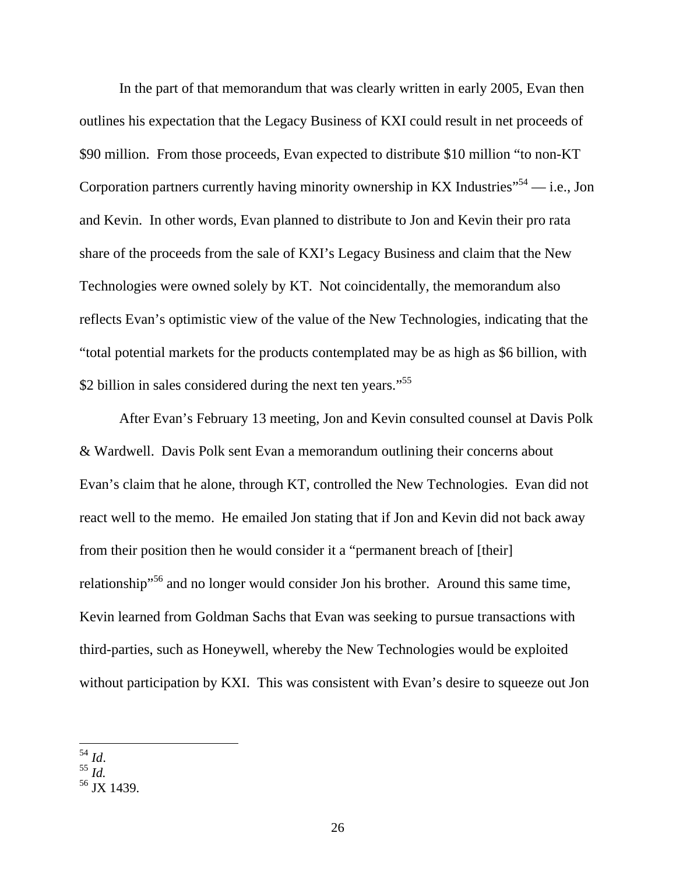In the part of that memorandum that was clearly written in early 2005, Evan then outlines his expectation that the Legacy Business of KXI could result in net proceeds of \$90 million. From those proceeds, Evan expected to distribute \$10 million "to non-KT Corporation partners currently having minority ownership in KX Industries<sup> $54$ </sup> — i.e., Jon and Kevin. In other words, Evan planned to distribute to Jon and Kevin their pro rata share of the proceeds from the sale of KXI's Legacy Business and claim that the New Technologies were owned solely by KT. Not coincidentally, the memorandum also reflects Evan's optimistic view of the value of the New Technologies, indicating that the "total potential markets for the products contemplated may be as high as \$6 billion, with \$2 billion in sales considered during the next ten years."<sup>55</sup>

 After Evan's February 13 meeting, Jon and Kevin consulted counsel at Davis Polk & Wardwell. Davis Polk sent Evan a memorandum outlining their concerns about Evan's claim that he alone, through KT, controlled the New Technologies. Evan did not react well to the memo. He emailed Jon stating that if Jon and Kevin did not back away from their position then he would consider it a "permanent breach of [their] relationship"56 and no longer would consider Jon his brother. Around this same time, Kevin learned from Goldman Sachs that Evan was seeking to pursue transactions with third-parties, such as Honeywell, whereby the New Technologies would be exploited without participation by KXI. This was consistent with Evan's desire to squeeze out Jon

<sup>54</sup> *Id*. 55 *Id.* 

 $56$  JX 1439.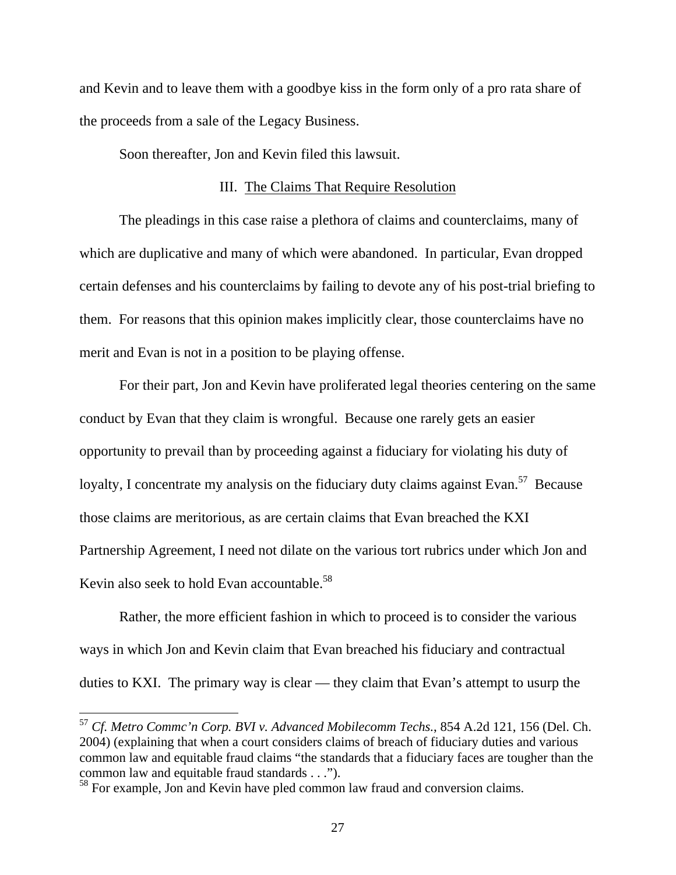and Kevin and to leave them with a goodbye kiss in the form only of a pro rata share of the proceeds from a sale of the Legacy Business.

Soon thereafter, Jon and Kevin filed this lawsuit.

#### III. The Claims That Require Resolution

 The pleadings in this case raise a plethora of claims and counterclaims, many of which are duplicative and many of which were abandoned. In particular, Evan dropped certain defenses and his counterclaims by failing to devote any of his post-trial briefing to them. For reasons that this opinion makes implicitly clear, those counterclaims have no merit and Evan is not in a position to be playing offense.

 For their part, Jon and Kevin have proliferated legal theories centering on the same conduct by Evan that they claim is wrongful. Because one rarely gets an easier opportunity to prevail than by proceeding against a fiduciary for violating his duty of loyalty, I concentrate my analysis on the fiduciary duty claims against Evan.<sup>57</sup> Because those claims are meritorious, as are certain claims that Evan breached the KXI Partnership Agreement, I need not dilate on the various tort rubrics under which Jon and Kevin also seek to hold Evan accountable.<sup>58</sup>

Rather, the more efficient fashion in which to proceed is to consider the various ways in which Jon and Kevin claim that Evan breached his fiduciary and contractual duties to KXI. The primary way is clear — they claim that Evan's attempt to usurp the

<sup>57</sup> *Cf. Metro Commc'n Corp. BVI v. Advanced Mobilecomm Techs.*, 854 A.2d 121, 156 (Del. Ch. 2004) (explaining that when a court considers claims of breach of fiduciary duties and various common law and equitable fraud claims "the standards that a fiduciary faces are tougher than the common law and equitable fraud standards . . .").

<sup>&</sup>lt;sup>58</sup> For example, Jon and Kevin have pled common law fraud and conversion claims.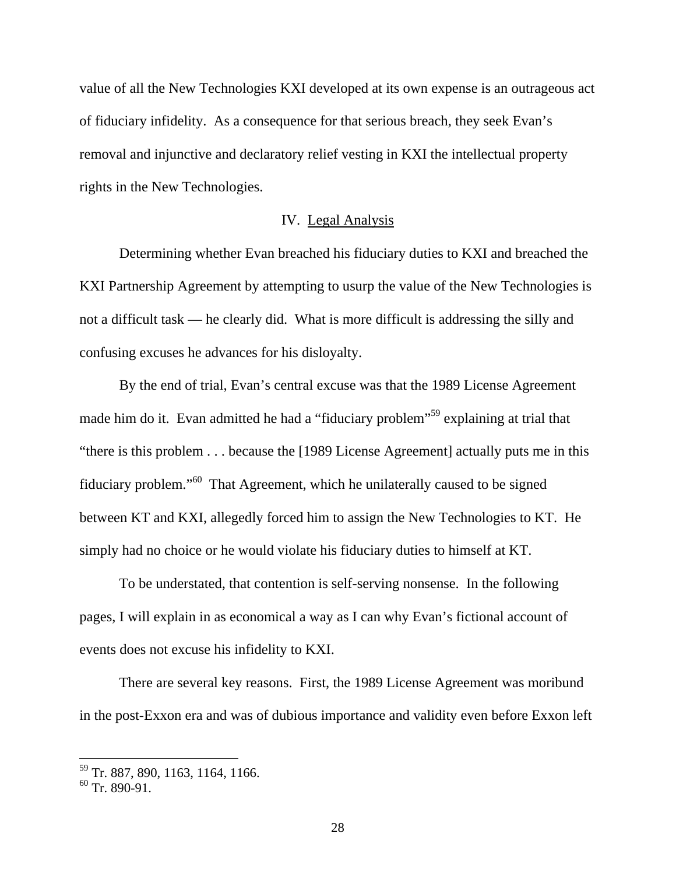value of all the New Technologies KXI developed at its own expense is an outrageous act of fiduciary infidelity. As a consequence for that serious breach, they seek Evan's removal and injunctive and declaratory relief vesting in KXI the intellectual property rights in the New Technologies.

## IV. Legal Analysis

Determining whether Evan breached his fiduciary duties to KXI and breached the KXI Partnership Agreement by attempting to usurp the value of the New Technologies is not a difficult task — he clearly did. What is more difficult is addressing the silly and confusing excuses he advances for his disloyalty.

 By the end of trial, Evan's central excuse was that the 1989 License Agreement made him do it. Evan admitted he had a "fiduciary problem"59 explaining at trial that "there is this problem . . . because the [1989 License Agreement] actually puts me in this fiduciary problem."60 That Agreement, which he unilaterally caused to be signed between KT and KXI, allegedly forced him to assign the New Technologies to KT. He simply had no choice or he would violate his fiduciary duties to himself at KT.

To be understated, that contention is self-serving nonsense. In the following pages, I will explain in as economical a way as I can why Evan's fictional account of events does not excuse his infidelity to KXI.

There are several key reasons. First, the 1989 License Agreement was moribund in the post-Exxon era and was of dubious importance and validity even before Exxon left

<sup>59</sup> Tr. 887, 890, 1163, 1164, 1166.

 $60$  Tr. 890-91.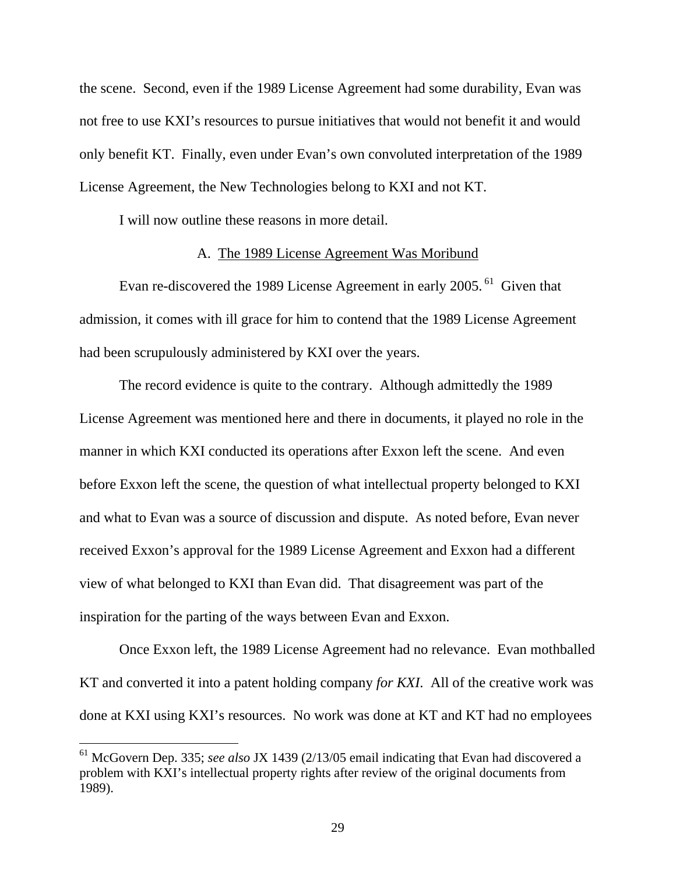the scene. Second, even if the 1989 License Agreement had some durability, Evan was not free to use KXI's resources to pursue initiatives that would not benefit it and would only benefit KT. Finally, even under Evan's own convoluted interpretation of the 1989 License Agreement, the New Technologies belong to KXI and not KT.

I will now outline these reasons in more detail.

### A. The 1989 License Agreement Was Moribund

Evan re-discovered the 1989 License Agreement in early 2005.<sup>61</sup> Given that admission, it comes with ill grace for him to contend that the 1989 License Agreement had been scrupulously administered by KXI over the years.

 The record evidence is quite to the contrary. Although admittedly the 1989 License Agreement was mentioned here and there in documents, it played no role in the manner in which KXI conducted its operations after Exxon left the scene. And even before Exxon left the scene, the question of what intellectual property belonged to KXI and what to Evan was a source of discussion and dispute. As noted before, Evan never received Exxon's approval for the 1989 License Agreement and Exxon had a different view of what belonged to KXI than Evan did. That disagreement was part of the inspiration for the parting of the ways between Evan and Exxon.

 Once Exxon left, the 1989 License Agreement had no relevance. Evan mothballed KT and converted it into a patent holding company *for KXI*. All of the creative work was done at KXI using KXI's resources. No work was done at KT and KT had no employees

<sup>61</sup> McGovern Dep. 335; *see also* JX 1439 (2/13/05 email indicating that Evan had discovered a problem with KXI's intellectual property rights after review of the original documents from 1989).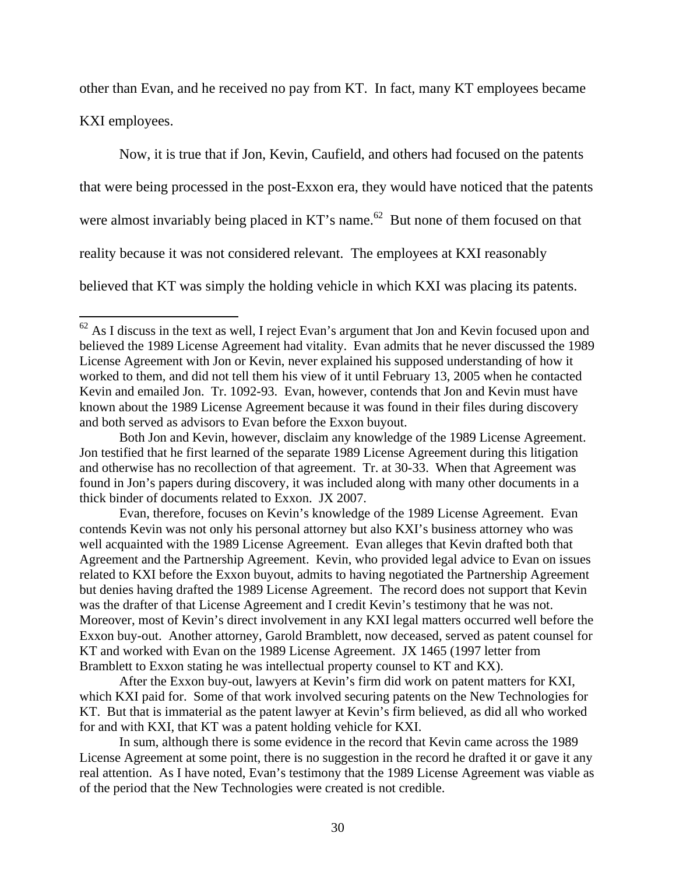other than Evan, and he received no pay from KT. In fact, many KT employees became

KXI employees.

 $\overline{a}$ 

 Now, it is true that if Jon, Kevin, Caufield, and others had focused on the patents that were being processed in the post-Exxon era, they would have noticed that the patents were almost invariably being placed in  $KT$ 's name.<sup>62</sup> But none of them focused on that reality because it was not considered relevant. The employees at KXI reasonably believed that KT was simply the holding vehicle in which KXI was placing its patents.

 $62$  As I discuss in the text as well, I reject Evan's argument that Jon and Kevin focused upon and believed the 1989 License Agreement had vitality. Evan admits that he never discussed the 1989 License Agreement with Jon or Kevin, never explained his supposed understanding of how it worked to them, and did not tell them his view of it until February 13, 2005 when he contacted Kevin and emailed Jon. Tr. 1092-93. Evan, however, contends that Jon and Kevin must have known about the 1989 License Agreement because it was found in their files during discovery and both served as advisors to Evan before the Exxon buyout.

Both Jon and Kevin, however, disclaim any knowledge of the 1989 License Agreement. Jon testified that he first learned of the separate 1989 License Agreement during this litigation and otherwise has no recollection of that agreement. Tr. at 30-33. When that Agreement was found in Jon's papers during discovery, it was included along with many other documents in a thick binder of documents related to Exxon. JX 2007.

Evan, therefore, focuses on Kevin's knowledge of the 1989 License Agreement. Evan contends Kevin was not only his personal attorney but also KXI's business attorney who was well acquainted with the 1989 License Agreement. Evan alleges that Kevin drafted both that Agreement and the Partnership Agreement. Kevin, who provided legal advice to Evan on issues related to KXI before the Exxon buyout, admits to having negotiated the Partnership Agreement but denies having drafted the 1989 License Agreement. The record does not support that Kevin was the drafter of that License Agreement and I credit Kevin's testimony that he was not. Moreover, most of Kevin's direct involvement in any KXI legal matters occurred well before the Exxon buy-out. Another attorney, Garold Bramblett, now deceased, served as patent counsel for KT and worked with Evan on the 1989 License Agreement. JX 1465 (1997 letter from Bramblett to Exxon stating he was intellectual property counsel to KT and KX).

After the Exxon buy-out, lawyers at Kevin's firm did work on patent matters for KXI, which KXI paid for. Some of that work involved securing patents on the New Technologies for KT. But that is immaterial as the patent lawyer at Kevin's firm believed, as did all who worked for and with KXI, that KT was a patent holding vehicle for KXI.

In sum, although there is some evidence in the record that Kevin came across the 1989 License Agreement at some point, there is no suggestion in the record he drafted it or gave it any real attention. As I have noted, Evan's testimony that the 1989 License Agreement was viable as of the period that the New Technologies were created is not credible.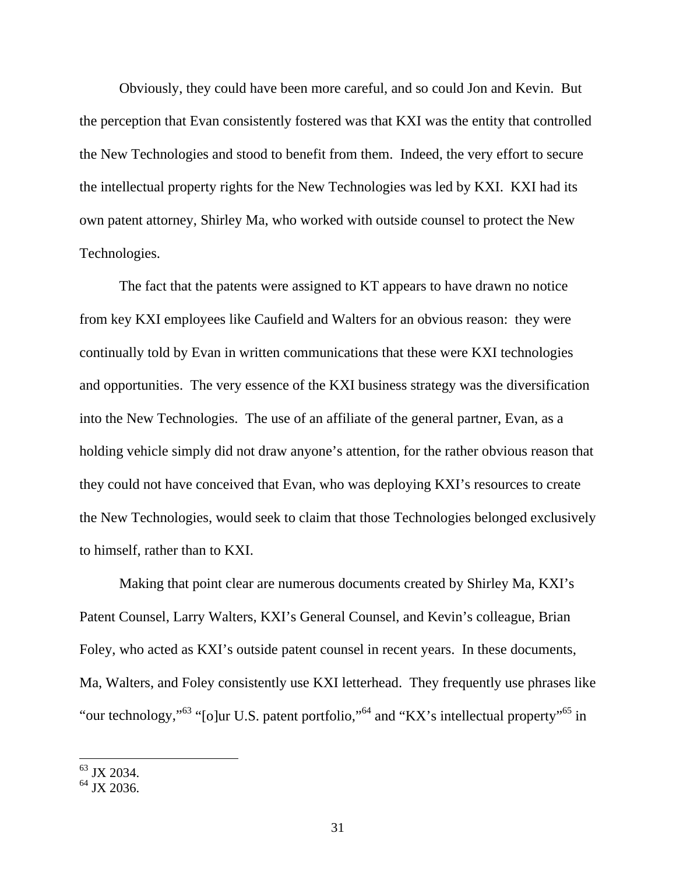Obviously, they could have been more careful, and so could Jon and Kevin. But the perception that Evan consistently fostered was that KXI was the entity that controlled the New Technologies and stood to benefit from them. Indeed, the very effort to secure the intellectual property rights for the New Technologies was led by KXI. KXI had its own patent attorney, Shirley Ma, who worked with outside counsel to protect the New Technologies.

 The fact that the patents were assigned to KT appears to have drawn no notice from key KXI employees like Caufield and Walters for an obvious reason: they were continually told by Evan in written communications that these were KXI technologies and opportunities. The very essence of the KXI business strategy was the diversification into the New Technologies. The use of an affiliate of the general partner, Evan, as a holding vehicle simply did not draw anyone's attention, for the rather obvious reason that they could not have conceived that Evan, who was deploying KXI's resources to create the New Technologies, would seek to claim that those Technologies belonged exclusively to himself, rather than to KXI.

 Making that point clear are numerous documents created by Shirley Ma, KXI's Patent Counsel, Larry Walters, KXI's General Counsel, and Kevin's colleague, Brian Foley, who acted as KXI's outside patent counsel in recent years. In these documents, Ma, Walters, and Foley consistently use KXI letterhead. They frequently use phrases like "our technology,"<sup>63</sup> "[o]ur U.S. patent portfolio,"<sup>64</sup> and "KX's intellectual property"<sup>65</sup> in

<sup>&</sup>lt;sup>63</sup> JX 2034.

 $64$  JX 2036.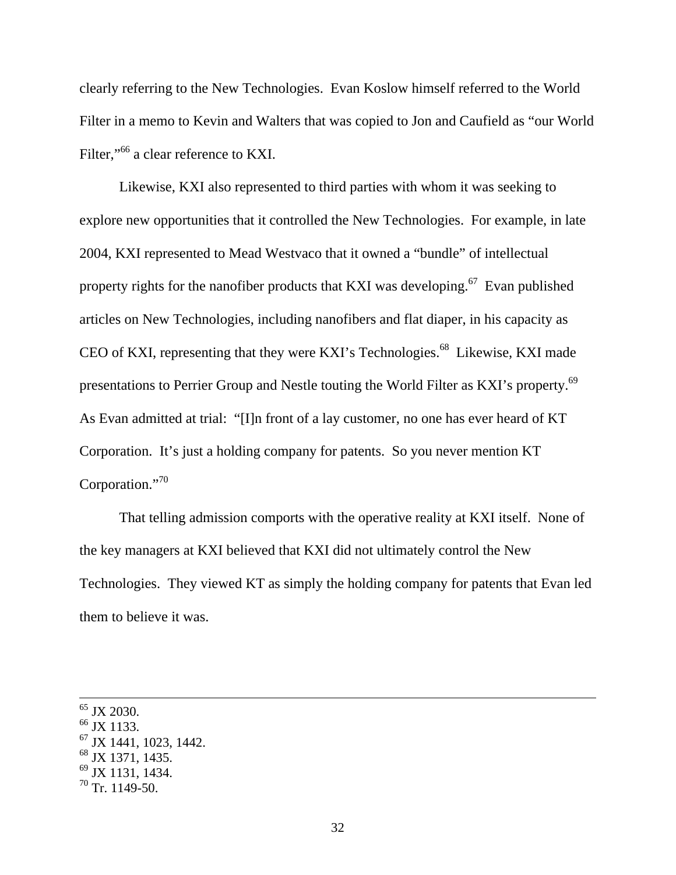clearly referring to the New Technologies. Evan Koslow himself referred to the World Filter in a memo to Kevin and Walters that was copied to Jon and Caufield as "our World Filter,"<sup>66</sup> a clear reference to KXI.

 Likewise, KXI also represented to third parties with whom it was seeking to explore new opportunities that it controlled the New Technologies. For example, in late 2004, KXI represented to Mead Westvaco that it owned a "bundle" of intellectual property rights for the nanofiber products that KXI was developing.<sup>67</sup> Evan published articles on New Technologies, including nanofibers and flat diaper, in his capacity as CEO of KXI, representing that they were KXI's Technologies.<sup>68</sup> Likewise, KXI made presentations to Perrier Group and Nestle touting the World Filter as KXI's property.69 As Evan admitted at trial: "[I]n front of a lay customer, no one has ever heard of KT Corporation. It's just a holding company for patents. So you never mention KT Corporation."<sup>70</sup>

 That telling admission comports with the operative reality at KXI itself. None of the key managers at KXI believed that KXI did not ultimately control the New Technologies. They viewed KT as simply the holding company for patents that Evan led them to believe it was.

<sup>&</sup>lt;sup>65</sup> JX 2030.

<sup>&</sup>lt;sup>66</sup> JX 1133.

 $67$  JX 1441, 1023, 1442.

 $^{68}$  JX 1371, 1435.

<sup>69</sup> JX 1131, 1434.

 $70$  Tr. 1149-50.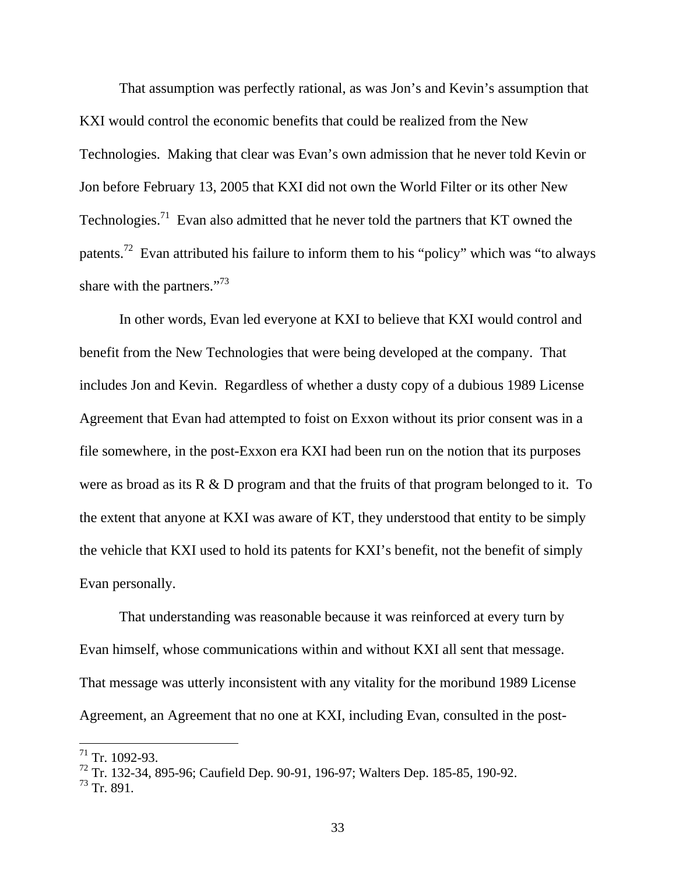That assumption was perfectly rational, as was Jon's and Kevin's assumption that KXI would control the economic benefits that could be realized from the New Technologies. Making that clear was Evan's own admission that he never told Kevin or Jon before February 13, 2005 that KXI did not own the World Filter or its other New Technologies.<sup>71</sup> Evan also admitted that he never told the partners that KT owned the patents.<sup>72</sup> Evan attributed his failure to inform them to his "policy" which was "to always share with the partners."<sup>73</sup>

 In other words, Evan led everyone at KXI to believe that KXI would control and benefit from the New Technologies that were being developed at the company. That includes Jon and Kevin. Regardless of whether a dusty copy of a dubious 1989 License Agreement that Evan had attempted to foist on Exxon without its prior consent was in a file somewhere, in the post-Exxon era KXI had been run on the notion that its purposes were as broad as its R & D program and that the fruits of that program belonged to it. To the extent that anyone at KXI was aware of KT, they understood that entity to be simply the vehicle that KXI used to hold its patents for KXI's benefit, not the benefit of simply Evan personally.

That understanding was reasonable because it was reinforced at every turn by Evan himself, whose communications within and without KXI all sent that message. That message was utterly inconsistent with any vitality for the moribund 1989 License Agreement, an Agreement that no one at KXI, including Evan, consulted in the post-

 $71$  Tr. 1092-93.

<sup>72</sup> Tr. 132-34, 895-96; Caufield Dep. 90-91, 196-97; Walters Dep. 185-85, 190-92.

 $^{73}$  Tr. 891.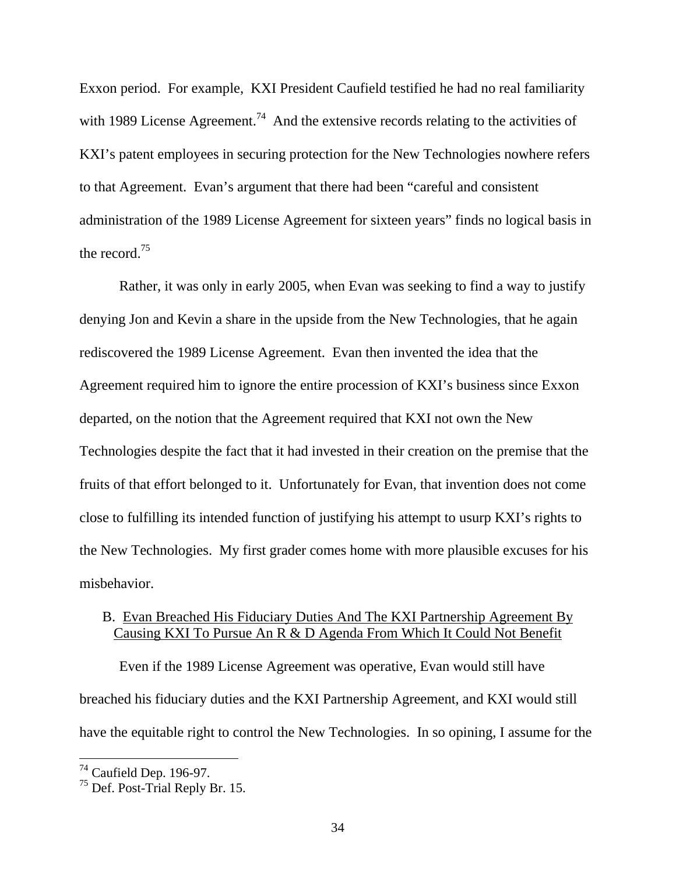Exxon period. For example, KXI President Caufield testified he had no real familiarity with 1989 License Agreement.<sup>74</sup> And the extensive records relating to the activities of KXI's patent employees in securing protection for the New Technologies nowhere refers to that Agreement. Evan's argument that there had been "careful and consistent administration of the 1989 License Agreement for sixteen years" finds no logical basis in the record.75

 Rather, it was only in early 2005, when Evan was seeking to find a way to justify denying Jon and Kevin a share in the upside from the New Technologies, that he again rediscovered the 1989 License Agreement. Evan then invented the idea that the Agreement required him to ignore the entire procession of KXI's business since Exxon departed, on the notion that the Agreement required that KXI not own the New Technologies despite the fact that it had invested in their creation on the premise that the fruits of that effort belonged to it. Unfortunately for Evan, that invention does not come close to fulfilling its intended function of justifying his attempt to usurp KXI's rights to the New Technologies. My first grader comes home with more plausible excuses for his misbehavior.

# B. Evan Breached His Fiduciary Duties And The KXI Partnership Agreement By Causing KXI To Pursue An R & D Agenda From Which It Could Not Benefit

 Even if the 1989 License Agreement was operative, Evan would still have breached his fiduciary duties and the KXI Partnership Agreement, and KXI would still have the equitable right to control the New Technologies. In so opining, I assume for the

 $^{74}$  Caufield Dep. 196-97.

 $75$  Def. Post-Trial Reply Br. 15.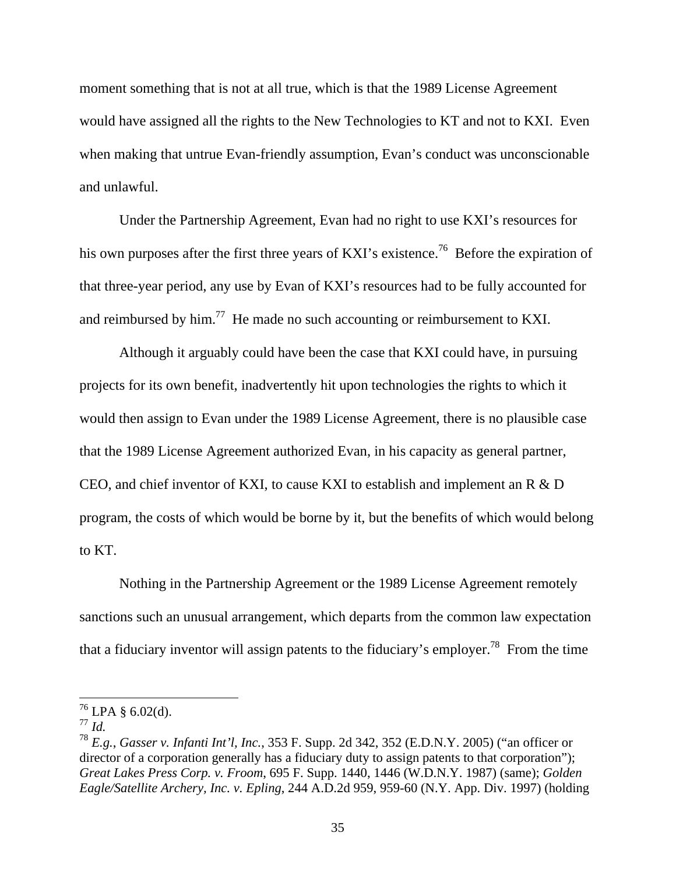moment something that is not at all true, which is that the 1989 License Agreement would have assigned all the rights to the New Technologies to KT and not to KXI. Even when making that untrue Evan-friendly assumption, Evan's conduct was unconscionable and unlawful.

 Under the Partnership Agreement, Evan had no right to use KXI's resources for his own purposes after the first three years of KXI's existence.<sup>76</sup> Before the expiration of that three-year period, any use by Evan of KXI's resources had to be fully accounted for and reimbursed by him.<sup>77</sup> He made no such accounting or reimbursement to KXI.

 Although it arguably could have been the case that KXI could have, in pursuing projects for its own benefit, inadvertently hit upon technologies the rights to which it would then assign to Evan under the 1989 License Agreement, there is no plausible case that the 1989 License Agreement authorized Evan, in his capacity as general partner, CEO, and chief inventor of KXI, to cause KXI to establish and implement an R & D program, the costs of which would be borne by it, but the benefits of which would belong to KT.

 Nothing in the Partnership Agreement or the 1989 License Agreement remotely sanctions such an unusual arrangement, which departs from the common law expectation that a fiduciary inventor will assign patents to the fiduciary's employer.<sup>78</sup> From the time

 $^{76}$  LPA § 6.02(d).

<sup>77</sup> *Id.* 

<sup>78</sup> *E.g.*, *Gasser v. Infanti Int'l, Inc.*, 353 F. Supp. 2d 342, 352 (E.D.N.Y. 2005) ("an officer or director of a corporation generally has a fiduciary duty to assign patents to that corporation"); *Great Lakes Press Corp. v. Froom*, 695 F. Supp. 1440, 1446 (W.D.N.Y. 1987) (same); *Golden Eagle/Satellite Archery, Inc. v. Epling*, 244 A.D.2d 959, 959-60 (N.Y. App. Div. 1997) (holding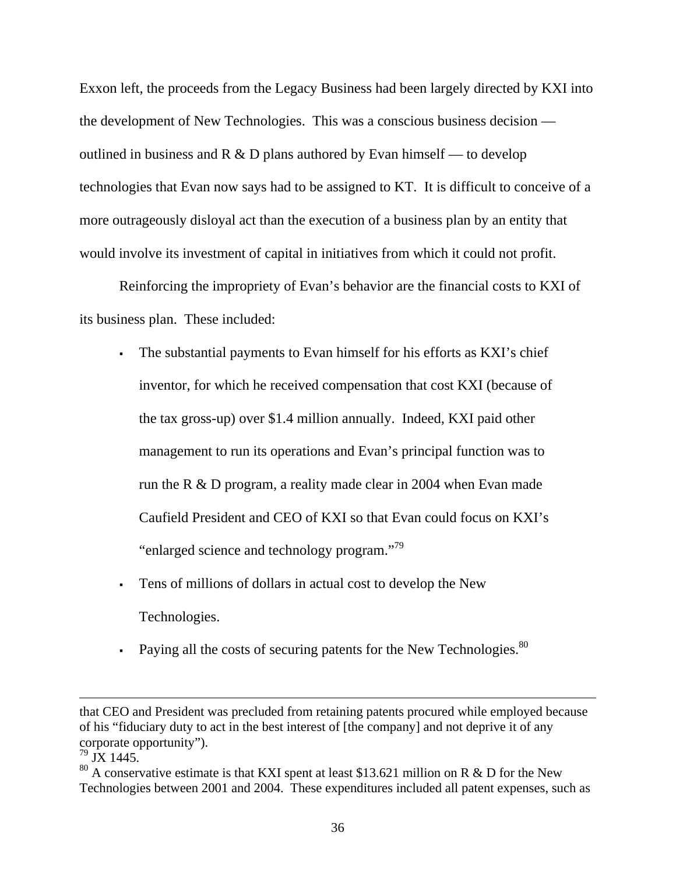Exxon left, the proceeds from the Legacy Business had been largely directed by KXI into the development of New Technologies. This was a conscious business decision outlined in business and R  $\&$  D plans authored by Evan himself — to develop technologies that Evan now says had to be assigned to KT. It is difficult to conceive of a more outrageously disloyal act than the execution of a business plan by an entity that would involve its investment of capital in initiatives from which it could not profit.

 Reinforcing the impropriety of Evan's behavior are the financial costs to KXI of its business plan. These included:

- The substantial payments to Evan himself for his efforts as KXI's chief inventor, for which he received compensation that cost KXI (because of the tax gross-up) over \$1.4 million annually. Indeed, KXI paid other management to run its operations and Evan's principal function was to run the R & D program, a reality made clear in 2004 when Evan made Caufield President and CEO of KXI so that Evan could focus on KXI's "enlarged science and technology program."<sup>79</sup>
- Tens of millions of dollars in actual cost to develop the New Technologies.
- Paying all the costs of securing patents for the New Technologies. $80$

that CEO and President was precluded from retaining patents procured while employed because of his "fiduciary duty to act in the best interest of [the company] and not deprive it of any corporate opportunity").

 $^{79}$  JX 1445.

<sup>&</sup>lt;sup>80</sup> A conservative estimate is that KXI spent at least \$13.621 million on R & D for the New Technologies between 2001 and 2004. These expenditures included all patent expenses, such as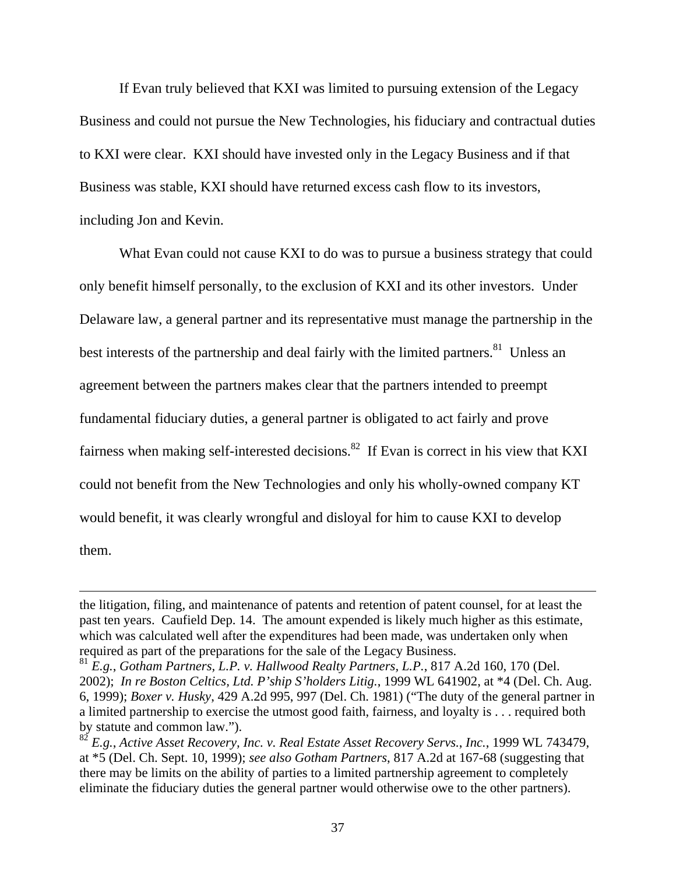If Evan truly believed that KXI was limited to pursuing extension of the Legacy Business and could not pursue the New Technologies, his fiduciary and contractual duties to KXI were clear. KXI should have invested only in the Legacy Business and if that Business was stable, KXI should have returned excess cash flow to its investors, including Jon and Kevin.

 What Evan could not cause KXI to do was to pursue a business strategy that could only benefit himself personally, to the exclusion of KXI and its other investors. Under Delaware law, a general partner and its representative must manage the partnership in the best interests of the partnership and deal fairly with the limited partners.<sup>81</sup> Unless an agreement between the partners makes clear that the partners intended to preempt fundamental fiduciary duties, a general partner is obligated to act fairly and prove fairness when making self-interested decisions.<sup>82</sup> If Evan is correct in his view that KXI could not benefit from the New Technologies and only his wholly-owned company KT would benefit, it was clearly wrongful and disloyal for him to cause KXI to develop them.

the litigation, filing, and maintenance of patents and retention of patent counsel, for at least the past ten years. Caufield Dep. 14. The amount expended is likely much higher as this estimate, which was calculated well after the expenditures had been made, was undertaken only when required as part of the preparations for the sale of the Legacy Business.

<sup>81</sup> *E.g.*, *Gotham Partners, L.P. v. Hallwood Realty Partners, L.P.*, 817 A.2d 160, 170 (Del. 2002); *In re Boston Celtics, Ltd. P'ship S'holders Litig.*, 1999 WL 641902, at \*4 (Del. Ch. Aug. 6, 1999); *Boxer v. Husky*, 429 A.2d 995, 997 (Del. Ch. 1981) ("The duty of the general partner in a limited partnership to exercise the utmost good faith, fairness, and loyalty is . . . required both by statute and common law.").

<sup>82</sup> *E.g.*, *Active Asset Recovery, Inc. v. Real Estate Asset Recovery Servs.*, *Inc.*, 1999 WL 743479, at \*5 (Del. Ch. Sept. 10, 1999); *see also Gotham Partners*, 817 A.2d at 167-68 (suggesting that there may be limits on the ability of parties to a limited partnership agreement to completely eliminate the fiduciary duties the general partner would otherwise owe to the other partners).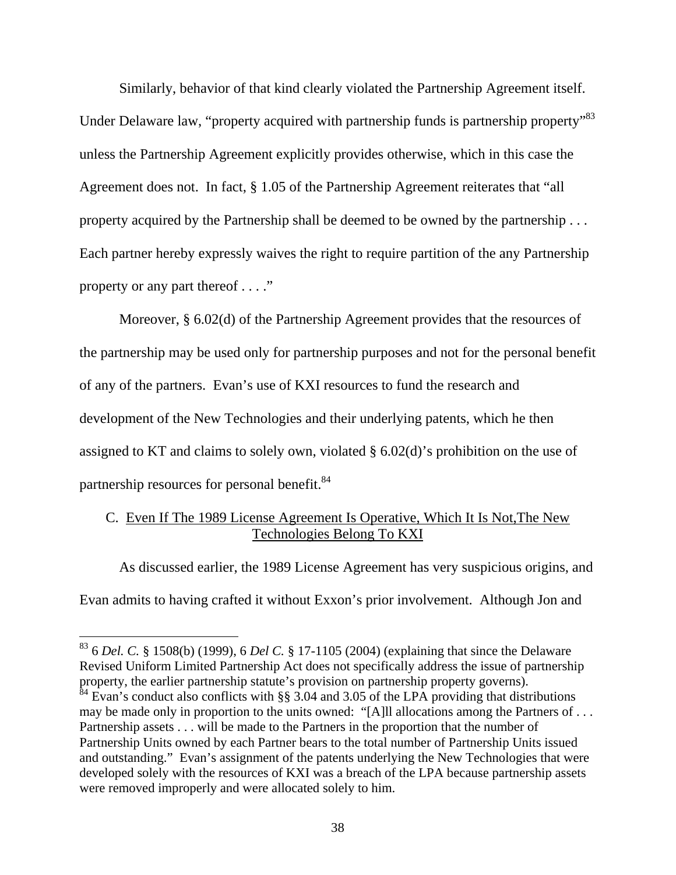Similarly, behavior of that kind clearly violated the Partnership Agreement itself. Under Delaware law, "property acquired with partnership funds is partnership property"<sup>83</sup> unless the Partnership Agreement explicitly provides otherwise, which in this case the Agreement does not. In fact, § 1.05 of the Partnership Agreement reiterates that "all property acquired by the Partnership shall be deemed to be owned by the partnership . . . Each partner hereby expressly waives the right to require partition of the any Partnership property or any part thereof . . . ."

Moreover, § 6.02(d) of the Partnership Agreement provides that the resources of the partnership may be used only for partnership purposes and not for the personal benefit of any of the partners. Evan's use of KXI resources to fund the research and development of the New Technologies and their underlying patents, which he then assigned to KT and claims to solely own, violated § 6.02(d)'s prohibition on the use of partnership resources for personal benefit.<sup>84</sup>

# C. Even If The 1989 License Agreement Is Operative, Which It Is Not,The New Technologies Belong To KXI

As discussed earlier, the 1989 License Agreement has very suspicious origins, and Evan admits to having crafted it without Exxon's prior involvement. Although Jon and

<sup>83 6</sup> *Del. C.* § 1508(b) (1999), 6 *Del C.* § 17-1105 (2004) (explaining that since the Delaware Revised Uniform Limited Partnership Act does not specifically address the issue of partnership property, the earlier partnership statute's provision on partnership property governs).  $^{84}$  Evan's conduct also conflicts with §§ 3.04 and 3.05 of the LPA providing that distributions may be made only in proportion to the units owned: "[A]ll allocations among the Partners of . . . Partnership assets . . . will be made to the Partners in the proportion that the number of Partnership Units owned by each Partner bears to the total number of Partnership Units issued and outstanding." Evan's assignment of the patents underlying the New Technologies that were developed solely with the resources of KXI was a breach of the LPA because partnership assets were removed improperly and were allocated solely to him.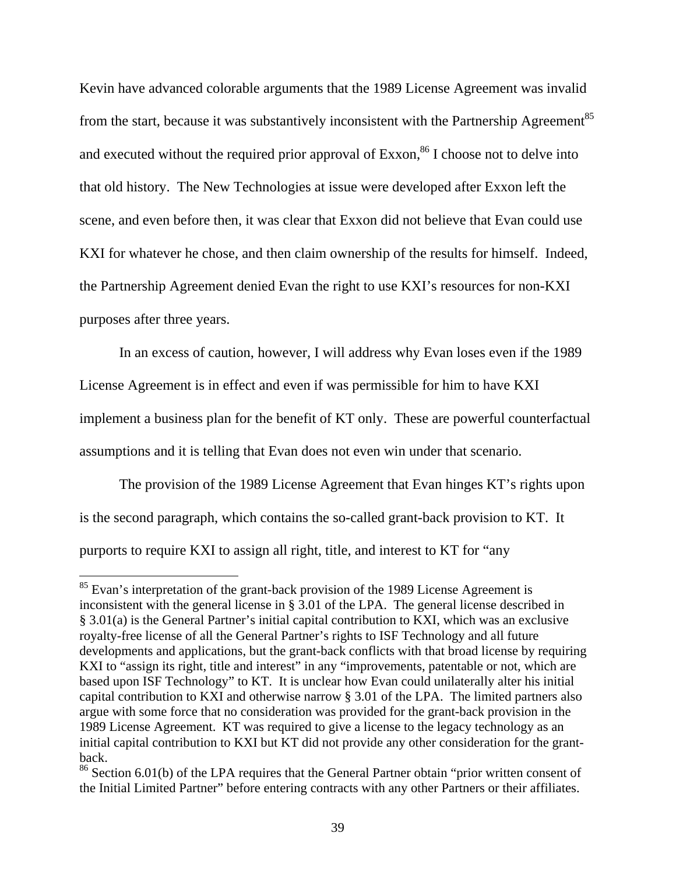Kevin have advanced colorable arguments that the 1989 License Agreement was invalid from the start, because it was substantively inconsistent with the Partnership Agreement<sup>85</sup> and executed without the required prior approval of  $Exxon<sup>86</sup>$  I choose not to delve into that old history. The New Technologies at issue were developed after Exxon left the scene, and even before then, it was clear that Exxon did not believe that Evan could use KXI for whatever he chose, and then claim ownership of the results for himself. Indeed, the Partnership Agreement denied Evan the right to use KXI's resources for non-KXI purposes after three years.

 In an excess of caution, however, I will address why Evan loses even if the 1989 License Agreement is in effect and even if was permissible for him to have KXI implement a business plan for the benefit of KT only. These are powerful counterfactual assumptions and it is telling that Evan does not even win under that scenario.

 The provision of the 1989 License Agreement that Evan hinges KT's rights upon is the second paragraph, which contains the so-called grant-back provision to KT. It purports to require KXI to assign all right, title, and interest to KT for "any

<sup>&</sup>lt;sup>85</sup> Evan's interpretation of the grant-back provision of the 1989 License Agreement is inconsistent with the general license in § 3.01 of the LPA. The general license described in § 3.01(a) is the General Partner's initial capital contribution to KXI, which was an exclusive royalty-free license of all the General Partner's rights to ISF Technology and all future developments and applications, but the grant-back conflicts with that broad license by requiring KXI to "assign its right, title and interest" in any "improvements, patentable or not, which are based upon ISF Technology" to KT. It is unclear how Evan could unilaterally alter his initial capital contribution to KXI and otherwise narrow § 3.01 of the LPA. The limited partners also argue with some force that no consideration was provided for the grant-back provision in the 1989 License Agreement. KT was required to give a license to the legacy technology as an initial capital contribution to KXI but KT did not provide any other consideration for the grantback.

<sup>&</sup>lt;sup>86</sup> Section 6.01(b) of the LPA requires that the General Partner obtain "prior written consent of the Initial Limited Partner" before entering contracts with any other Partners or their affiliates.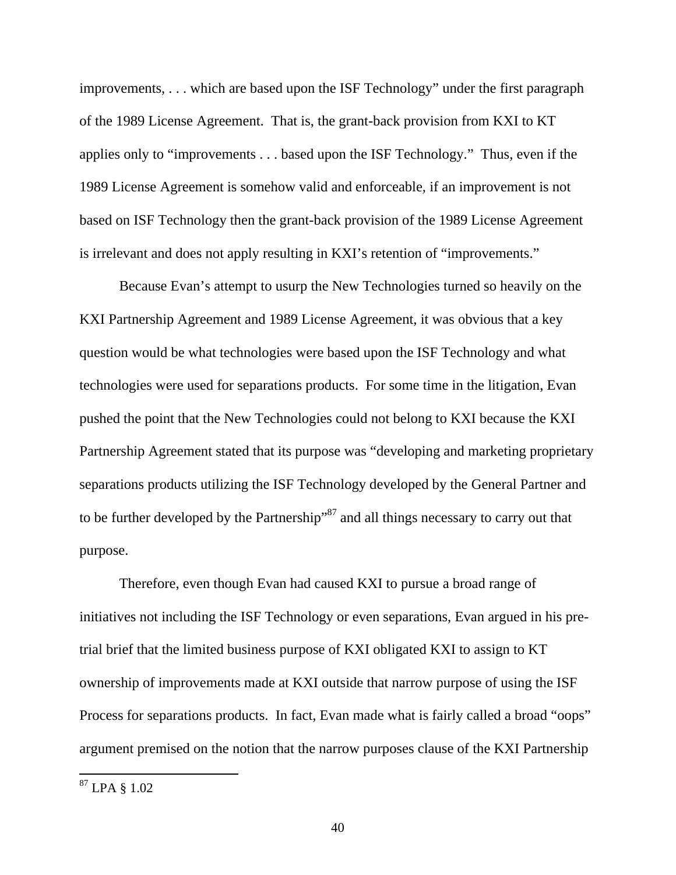improvements, . . . which are based upon the ISF Technology" under the first paragraph of the 1989 License Agreement. That is, the grant-back provision from KXI to KT applies only to "improvements . . . based upon the ISF Technology." Thus, even if the 1989 License Agreement is somehow valid and enforceable, if an improvement is not based on ISF Technology then the grant-back provision of the 1989 License Agreement is irrelevant and does not apply resulting in KXI's retention of "improvements."

Because Evan's attempt to usurp the New Technologies turned so heavily on the KXI Partnership Agreement and 1989 License Agreement, it was obvious that a key question would be what technologies were based upon the ISF Technology and what technologies were used for separations products. For some time in the litigation, Evan pushed the point that the New Technologies could not belong to KXI because the KXI Partnership Agreement stated that its purpose was "developing and marketing proprietary separations products utilizing the ISF Technology developed by the General Partner and to be further developed by the Partnership<sup>387</sup> and all things necessary to carry out that purpose.

Therefore, even though Evan had caused KXI to pursue a broad range of initiatives not including the ISF Technology or even separations, Evan argued in his pretrial brief that the limited business purpose of KXI obligated KXI to assign to KT ownership of improvements made at KXI outside that narrow purpose of using the ISF Process for separations products. In fact, Evan made what is fairly called a broad "oops" argument premised on the notion that the narrow purposes clause of the KXI Partnership

<sup>87</sup> LPA § 1.02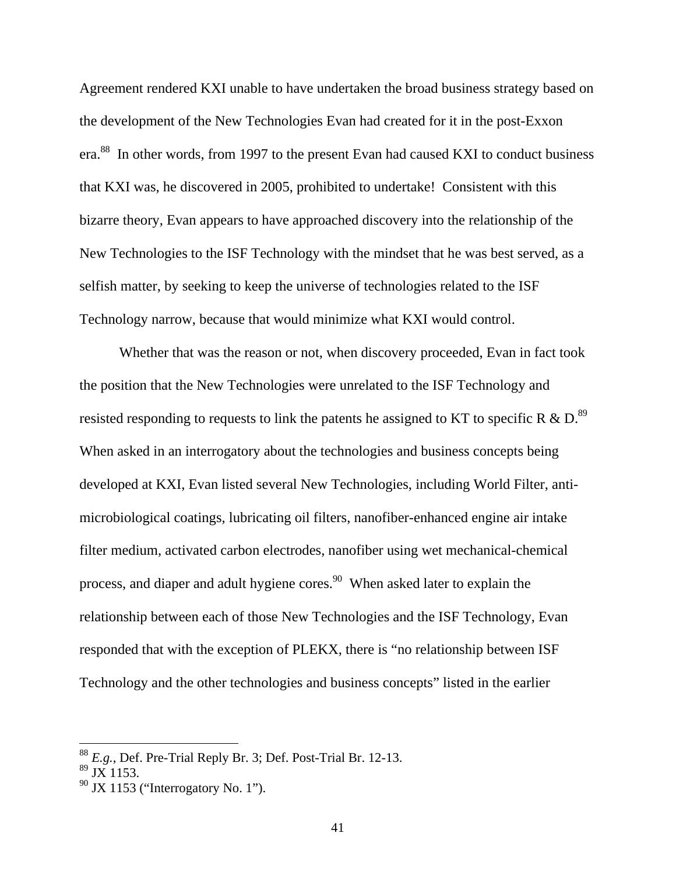Agreement rendered KXI unable to have undertaken the broad business strategy based on the development of the New Technologies Evan had created for it in the post-Exxon era.<sup>88</sup> In other words, from 1997 to the present Evan had caused KXI to conduct business that KXI was, he discovered in 2005, prohibited to undertake! Consistent with this bizarre theory, Evan appears to have approached discovery into the relationship of the New Technologies to the ISF Technology with the mindset that he was best served, as a selfish matter, by seeking to keep the universe of technologies related to the ISF Technology narrow, because that would minimize what KXI would control.

Whether that was the reason or not, when discovery proceeded, Evan in fact took the position that the New Technologies were unrelated to the ISF Technology and resisted responding to requests to link the patents he assigned to KT to specific R  $\&$  D.<sup>89</sup> When asked in an interrogatory about the technologies and business concepts being developed at KXI, Evan listed several New Technologies, including World Filter, antimicrobiological coatings, lubricating oil filters, nanofiber-enhanced engine air intake filter medium, activated carbon electrodes, nanofiber using wet mechanical-chemical process, and diaper and adult hygiene cores.<sup>90</sup> When asked later to explain the relationship between each of those New Technologies and the ISF Technology, Evan responded that with the exception of PLEKX, there is "no relationship between ISF Technology and the other technologies and business concepts" listed in the earlier

<sup>88</sup> *E.g.*, Def. Pre-Trial Reply Br. 3; Def. Post-Trial Br. 12-13.

 $89$  JX 1153.

 $90$  JX 1153 ("Interrogatory No. 1").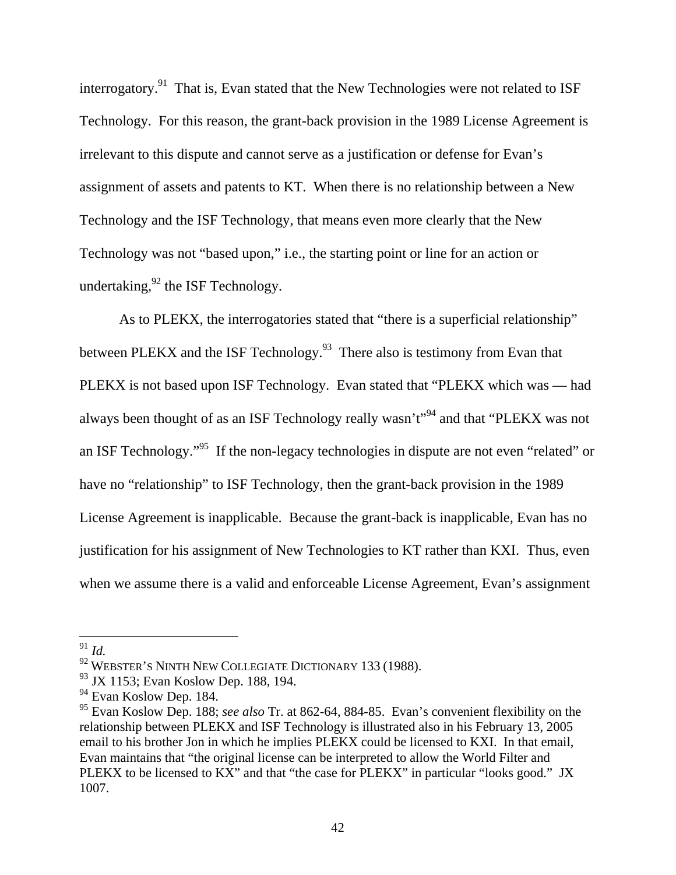interrogatory.<sup>91</sup> That is, Evan stated that the New Technologies were not related to ISF Technology. For this reason, the grant-back provision in the 1989 License Agreement is irrelevant to this dispute and cannot serve as a justification or defense for Evan's assignment of assets and patents to KT. When there is no relationship between a New Technology and the ISF Technology, that means even more clearly that the New Technology was not "based upon," i.e., the starting point or line for an action or undertaking,  $92$  the ISF Technology.

As to PLEKX, the interrogatories stated that "there is a superficial relationship" between PLEKX and the ISF Technology.<sup>93</sup> There also is testimony from Evan that PLEKX is not based upon ISF Technology. Evan stated that "PLEKX which was — had always been thought of as an ISF Technology really wasn't"94 and that "PLEKX was not an ISF Technology."95 If the non-legacy technologies in dispute are not even "related" or have no "relationship" to ISF Technology, then the grant-back provision in the 1989 License Agreement is inapplicable. Because the grant-back is inapplicable, Evan has no justification for his assignment of New Technologies to KT rather than KXI. Thus, even when we assume there is a valid and enforceable License Agreement, Evan's assignment

<sup>91</sup> *Id.* 

<sup>&</sup>lt;sup>92</sup> WEBSTER'S NINTH NEW COLLEGIATE DICTIONARY 133 (1988).

 $93$  JX 1153; Evan Koslow Dep. 188, 194.

 $94$  Evan Koslow Dep. 184.

<sup>95</sup> Evan Koslow Dep. 188; *see also* Tr. at 862-64, 884-85. Evan's convenient flexibility on the relationship between PLEKX and ISF Technology is illustrated also in his February 13, 2005 email to his brother Jon in which he implies PLEKX could be licensed to KXI. In that email, Evan maintains that "the original license can be interpreted to allow the World Filter and PLEKX to be licensed to KX" and that "the case for PLEKX" in particular "looks good." JX 1007.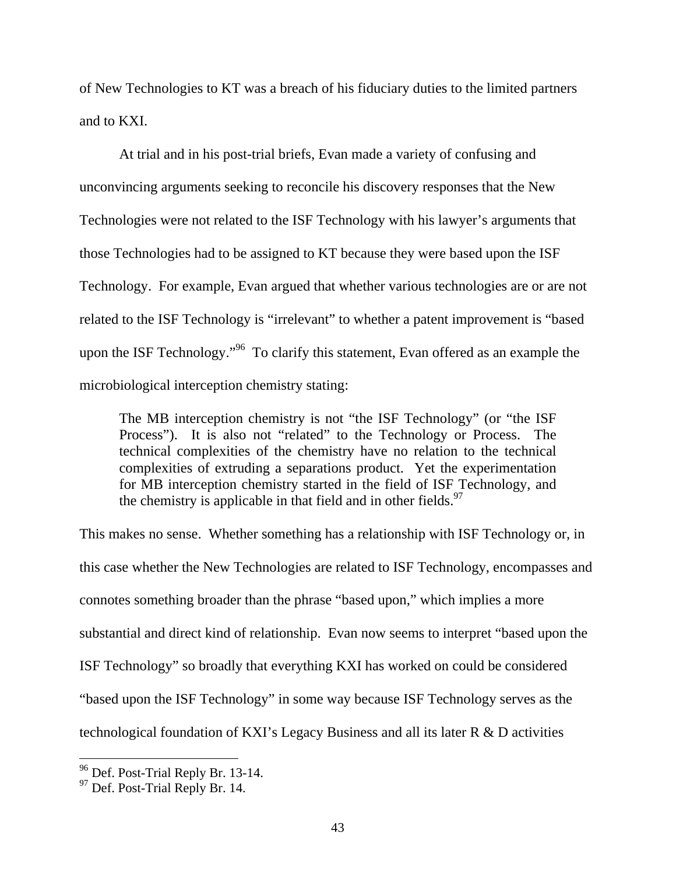of New Technologies to KT was a breach of his fiduciary duties to the limited partners and to KXI.

At trial and in his post-trial briefs, Evan made a variety of confusing and unconvincing arguments seeking to reconcile his discovery responses that the New Technologies were not related to the ISF Technology with his lawyer's arguments that those Technologies had to be assigned to KT because they were based upon the ISF Technology. For example, Evan argued that whether various technologies are or are not related to the ISF Technology is "irrelevant" to whether a patent improvement is "based upon the ISF Technology."<sup>96</sup> To clarify this statement, Evan offered as an example the microbiological interception chemistry stating:

The MB interception chemistry is not "the ISF Technology" (or "the ISF Process"). It is also not "related" to the Technology or Process. The technical complexities of the chemistry have no relation to the technical complexities of extruding a separations product. Yet the experimentation for MB interception chemistry started in the field of ISF Technology, and the chemistry is applicable in that field and in other fields. $97$ 

This makes no sense. Whether something has a relationship with ISF Technology or, in this case whether the New Technologies are related to ISF Technology, encompasses and connotes something broader than the phrase "based upon," which implies a more substantial and direct kind of relationship. Evan now seems to interpret "based upon the ISF Technology" so broadly that everything KXI has worked on could be considered "based upon the ISF Technology" in some way because ISF Technology serves as the technological foundation of KXI's Legacy Business and all its later R & D activities

<sup>&</sup>lt;sup>96</sup> Def. Post-Trial Reply Br. 13-14.

<sup>&</sup>lt;sup>97</sup> Def. Post-Trial Reply Br. 14.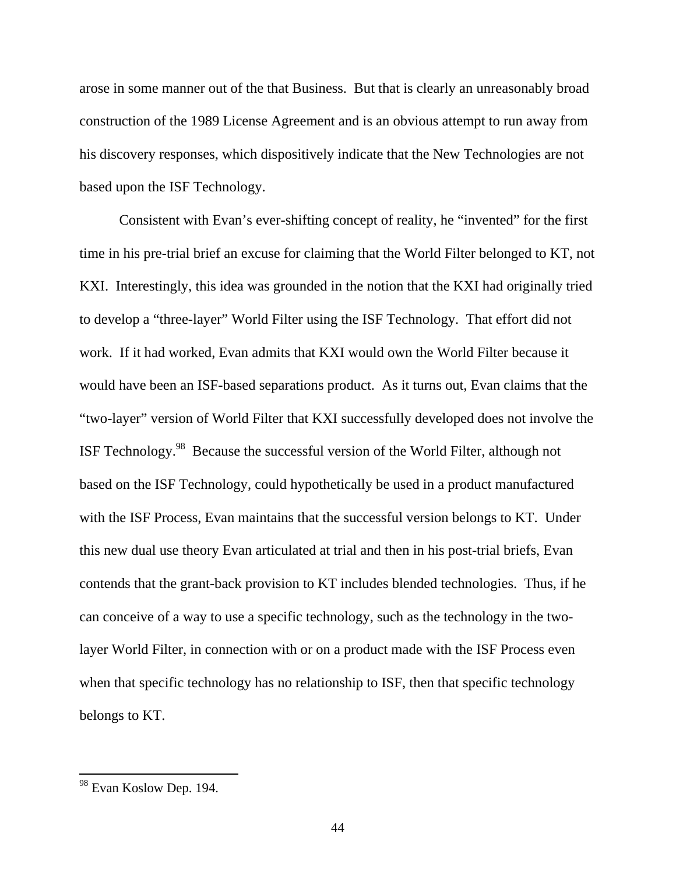arose in some manner out of the that Business. But that is clearly an unreasonably broad construction of the 1989 License Agreement and is an obvious attempt to run away from his discovery responses, which dispositively indicate that the New Technologies are not based upon the ISF Technology.

 Consistent with Evan's ever-shifting concept of reality, he "invented" for the first time in his pre-trial brief an excuse for claiming that the World Filter belonged to KT, not KXI. Interestingly, this idea was grounded in the notion that the KXI had originally tried to develop a "three-layer" World Filter using the ISF Technology. That effort did not work. If it had worked, Evan admits that KXI would own the World Filter because it would have been an ISF-based separations product. As it turns out, Evan claims that the "two-layer" version of World Filter that KXI successfully developed does not involve the ISF Technology.98 Because the successful version of the World Filter, although not based on the ISF Technology, could hypothetically be used in a product manufactured with the ISF Process, Evan maintains that the successful version belongs to KT. Under this new dual use theory Evan articulated at trial and then in his post-trial briefs, Evan contends that the grant-back provision to KT includes blended technologies. Thus, if he can conceive of a way to use a specific technology, such as the technology in the twolayer World Filter, in connection with or on a product made with the ISF Process even when that specific technology has no relationship to ISF, then that specific technology belongs to KT.

<sup>&</sup>lt;sup>98</sup> Evan Koslow Dep. 194.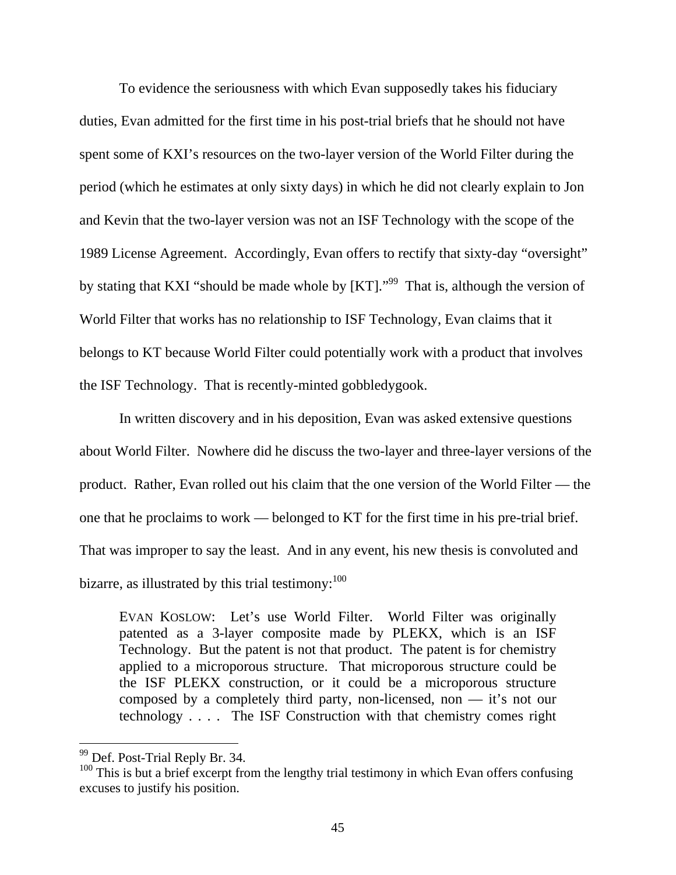To evidence the seriousness with which Evan supposedly takes his fiduciary duties, Evan admitted for the first time in his post-trial briefs that he should not have spent some of KXI's resources on the two-layer version of the World Filter during the period (which he estimates at only sixty days) in which he did not clearly explain to Jon and Kevin that the two-layer version was not an ISF Technology with the scope of the 1989 License Agreement. Accordingly, Evan offers to rectify that sixty-day "oversight" by stating that KXI "should be made whole by [KT]."<sup>99</sup> That is, although the version of World Filter that works has no relationship to ISF Technology, Evan claims that it belongs to KT because World Filter could potentially work with a product that involves the ISF Technology. That is recently-minted gobbledygook.

In written discovery and in his deposition, Evan was asked extensive questions about World Filter. Nowhere did he discuss the two-layer and three-layer versions of the product. Rather, Evan rolled out his claim that the one version of the World Filter — the one that he proclaims to work — belonged to KT for the first time in his pre-trial brief. That was improper to say the least. And in any event, his new thesis is convoluted and bizarre, as illustrated by this trial testimony:  $100$ 

EVAN KOSLOW: Let's use World Filter. World Filter was originally patented as a 3-layer composite made by PLEKX, which is an ISF Technology. But the patent is not that product. The patent is for chemistry applied to a microporous structure. That microporous structure could be the ISF PLEKX construction, or it could be a microporous structure composed by a completely third party, non-licensed, non — it's not our technology . . . . The ISF Construction with that chemistry comes right

 $99$  Def. Post-Trial Reply Br. 34.

 $100$  This is but a brief excerpt from the lengthy trial testimony in which Evan offers confusing excuses to justify his position.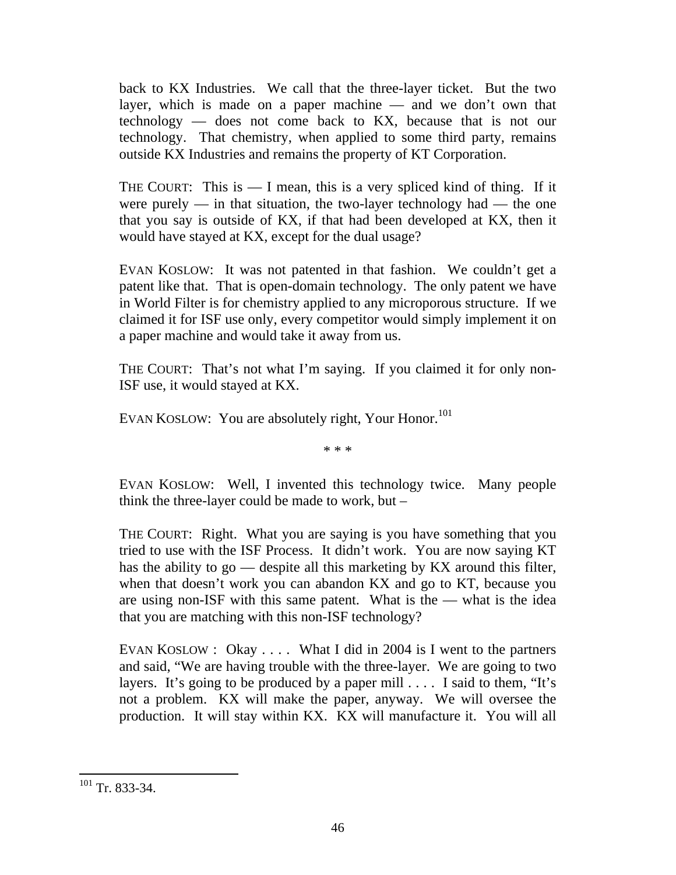back to KX Industries. We call that the three-layer ticket. But the two layer, which is made on a paper machine — and we don't own that technology — does not come back to KX, because that is not our technology. That chemistry, when applied to some third party, remains outside KX Industries and remains the property of KT Corporation.

THE COURT: This is  $- I$  mean, this is a very spliced kind of thing. If it were purely — in that situation, the two-layer technology had — the one that you say is outside of KX, if that had been developed at KX, then it would have stayed at KX, except for the dual usage?

EVAN KOSLOW: It was not patented in that fashion. We couldn't get a patent like that. That is open-domain technology. The only patent we have in World Filter is for chemistry applied to any microporous structure. If we claimed it for ISF use only, every competitor would simply implement it on a paper machine and would take it away from us.

THE COURT: That's not what I'm saying. If you claimed it for only non-ISF use, it would stayed at KX.

EVAN KOSLOW: You are absolutely right, Your Honor.<sup>101</sup>

\* \* \*

EVAN KOSLOW: Well, I invented this technology twice. Many people think the three-layer could be made to work, but –

THE COURT: Right. What you are saying is you have something that you tried to use with the ISF Process. It didn't work. You are now saying KT has the ability to go — despite all this marketing by KX around this filter, when that doesn't work you can abandon KX and go to KT, because you are using non-ISF with this same patent. What is the — what is the idea that you are matching with this non-ISF technology?

EVAN KOSLOW : Okay .... What I did in 2004 is I went to the partners and said, "We are having trouble with the three-layer. We are going to two layers. It's going to be produced by a paper mill . . . . I said to them, "It's not a problem. KX will make the paper, anyway. We will oversee the production. It will stay within KX. KX will manufacture it. You will all

 $\overline{a}$  $101$  Tr. 833-34.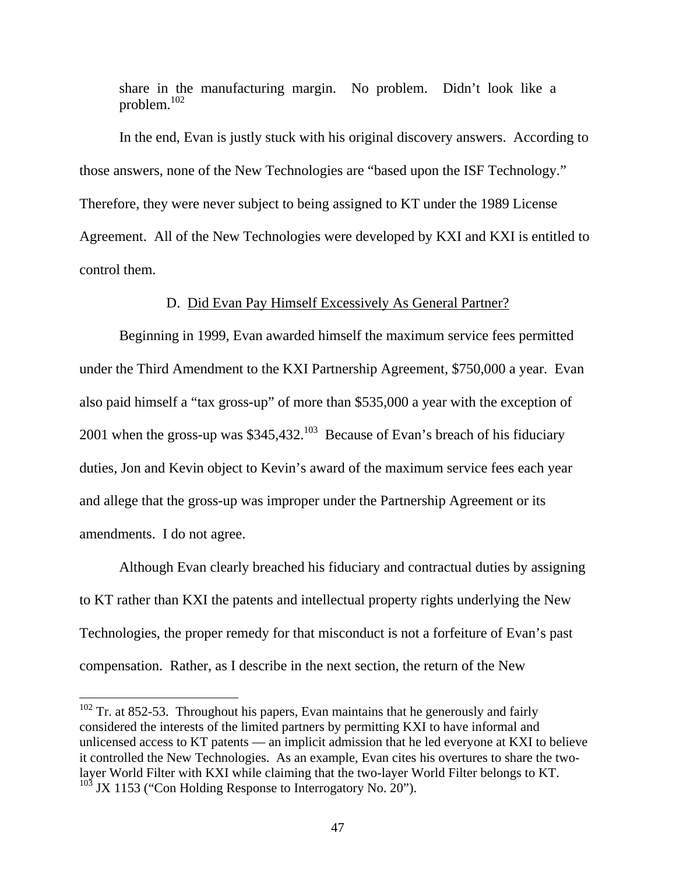share in the manufacturing margin. No problem. Didn't look like a problem.102

In the end, Evan is justly stuck with his original discovery answers. According to those answers, none of the New Technologies are "based upon the ISF Technology." Therefore, they were never subject to being assigned to KT under the 1989 License Agreement. All of the New Technologies were developed by KXI and KXI is entitled to control them.

### D. Did Evan Pay Himself Excessively As General Partner?

 Beginning in 1999, Evan awarded himself the maximum service fees permitted under the Third Amendment to the KXI Partnership Agreement, \$750,000 a year. Evan also paid himself a "tax gross-up" of more than \$535,000 a year with the exception of 2001 when the gross-up was \$345,432.<sup>103</sup> Because of Evan's breach of his fiduciary duties, Jon and Kevin object to Kevin's award of the maximum service fees each year and allege that the gross-up was improper under the Partnership Agreement or its amendments. I do not agree.

 Although Evan clearly breached his fiduciary and contractual duties by assigning to KT rather than KXI the patents and intellectual property rights underlying the New Technologies, the proper remedy for that misconduct is not a forfeiture of Evan's past compensation. Rather, as I describe in the next section, the return of the New

 $102$  Tr. at 852-53. Throughout his papers, Evan maintains that he generously and fairly considered the interests of the limited partners by permitting KXI to have informal and unlicensed access to KT patents — an implicit admission that he led everyone at KXI to believe it controlled the New Technologies. As an example, Evan cites his overtures to share the twolayer World Filter with KXI while claiming that the two-layer World Filter belongs to KT.  $103$  JX 1153 ("Con Holding Response to Interrogatory No. 20").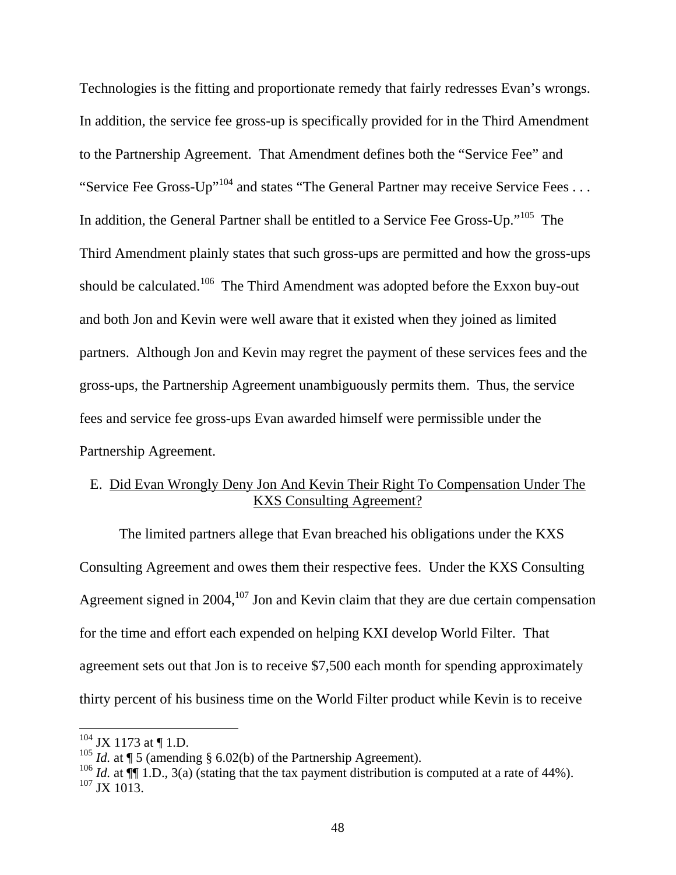Technologies is the fitting and proportionate remedy that fairly redresses Evan's wrongs. In addition, the service fee gross-up is specifically provided for in the Third Amendment to the Partnership Agreement. That Amendment defines both the "Service Fee" and "Service Fee Gross-Up"<sup>104</sup> and states "The General Partner may receive Service Fees ... In addition, the General Partner shall be entitled to a Service Fee Gross-Up."<sup>105</sup> The Third Amendment plainly states that such gross-ups are permitted and how the gross-ups should be calculated.<sup>106</sup> The Third Amendment was adopted before the Exxon buy-out and both Jon and Kevin were well aware that it existed when they joined as limited partners. Although Jon and Kevin may regret the payment of these services fees and the gross-ups, the Partnership Agreement unambiguously permits them. Thus, the service fees and service fee gross-ups Evan awarded himself were permissible under the Partnership Agreement.

# E. Did Evan Wrongly Deny Jon And Kevin Their Right To Compensation Under The KXS Consulting Agreement?

The limited partners allege that Evan breached his obligations under the KXS Consulting Agreement and owes them their respective fees. Under the KXS Consulting Agreement signed in  $2004$ ,  $107$  Jon and Kevin claim that they are due certain compensation for the time and effort each expended on helping KXI develop World Filter. That agreement sets out that Jon is to receive \$7,500 each month for spending approximately thirty percent of his business time on the World Filter product while Kevin is to receive

 $104$  JX 1173 at ¶ 1.D.

<sup>&</sup>lt;sup>105</sup> *Id.* at  $\P$  5 (amending § 6.02(b) of the Partnership Agreement).

<sup>&</sup>lt;sup>106</sup> *Id.* at  $\P$ [1.D., 3(a) (stating that the tax payment distribution is computed at a rate of 44%).  $107 \text{ JX} 1013$ .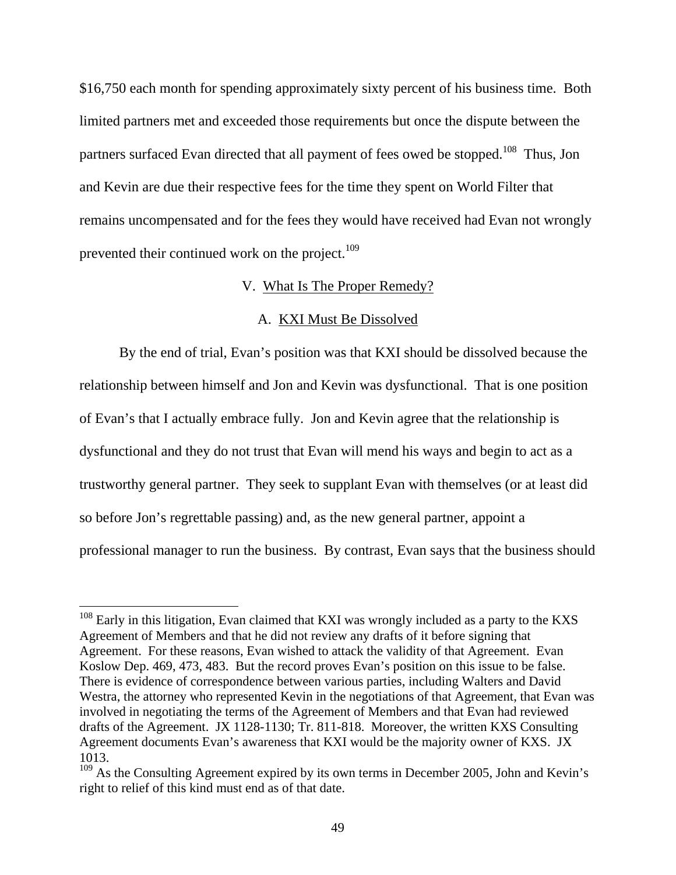\$16,750 each month for spending approximately sixty percent of his business time. Both limited partners met and exceeded those requirements but once the dispute between the partners surfaced Evan directed that all payment of fees owed be stopped.<sup>108</sup> Thus, Jon and Kevin are due their respective fees for the time they spent on World Filter that remains uncompensated and for the fees they would have received had Evan not wrongly prevented their continued work on the project.<sup>109</sup>

# V. What Is The Proper Remedy?

## A. KXI Must Be Dissolved

 By the end of trial, Evan's position was that KXI should be dissolved because the relationship between himself and Jon and Kevin was dysfunctional. That is one position of Evan's that I actually embrace fully. Jon and Kevin agree that the relationship is dysfunctional and they do not trust that Evan will mend his ways and begin to act as a trustworthy general partner. They seek to supplant Evan with themselves (or at least did so before Jon's regrettable passing) and, as the new general partner, appoint a professional manager to run the business. By contrast, Evan says that the business should

 $108$  Early in this litigation, Evan claimed that KXI was wrongly included as a party to the KXS Agreement of Members and that he did not review any drafts of it before signing that Agreement. For these reasons, Evan wished to attack the validity of that Agreement. Evan Koslow Dep. 469, 473, 483. But the record proves Evan's position on this issue to be false. There is evidence of correspondence between various parties, including Walters and David Westra, the attorney who represented Kevin in the negotiations of that Agreement, that Evan was involved in negotiating the terms of the Agreement of Members and that Evan had reviewed drafts of the Agreement. JX 1128-1130; Tr. 811-818. Moreover, the written KXS Consulting Agreement documents Evan's awareness that KXI would be the majority owner of KXS. JX 1013.

 $109$  As the Consulting Agreement expired by its own terms in December 2005, John and Kevin's right to relief of this kind must end as of that date.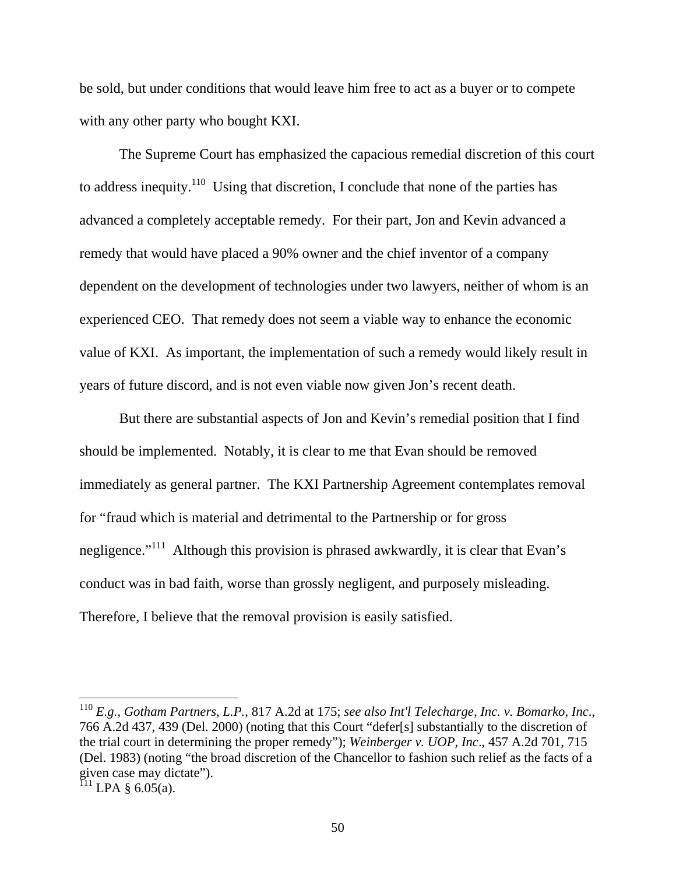be sold, but under conditions that would leave him free to act as a buyer or to compete with any other party who bought KXI.

The Supreme Court has emphasized the capacious remedial discretion of this court to address inequity.<sup>110</sup> Using that discretion, I conclude that none of the parties has advanced a completely acceptable remedy. For their part, Jon and Kevin advanced a remedy that would have placed a 90% owner and the chief inventor of a company dependent on the development of technologies under two lawyers, neither of whom is an experienced CEO. That remedy does not seem a viable way to enhance the economic value of KXI. As important, the implementation of such a remedy would likely result in years of future discord, and is not even viable now given Jon's recent death.

But there are substantial aspects of Jon and Kevin's remedial position that I find should be implemented. Notably, it is clear to me that Evan should be removed immediately as general partner. The KXI Partnership Agreement contemplates removal for "fraud which is material and detrimental to the Partnership or for gross negligence."<sup>111</sup> Although this provision is phrased awkwardly, it is clear that Evan's conduct was in bad faith, worse than grossly negligent, and purposely misleading. Therefore, I believe that the removal provision is easily satisfied.

<sup>110</sup> *E.g.*, *Gotham Partners, L.P.*, 817 A.2d at 175; *see also Int'l Telecharge, Inc. v. Bomarko, Inc*., 766 A.2d 437, 439 (Del. 2000) (noting that this Court "defer[s] substantially to the discretion of the trial court in determining the proper remedy"); *Weinberger v. UOP, Inc*., 457 A.2d 701, 715 (Del. 1983) (noting "the broad discretion of the Chancellor to fashion such relief as the facts of a given case may dictate").

 $^{111}$  LPA § 6.05(a).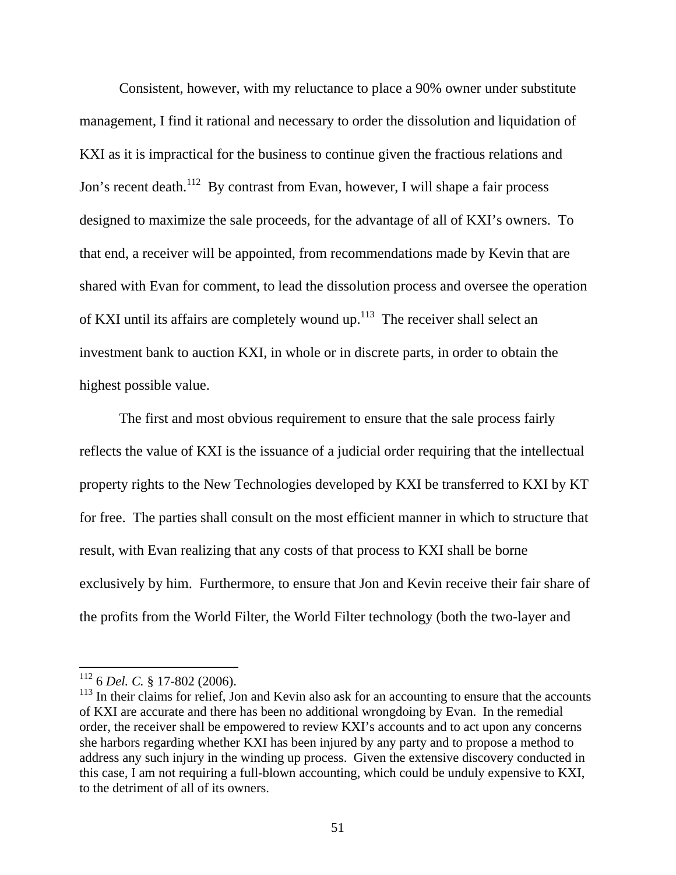Consistent, however, with my reluctance to place a 90% owner under substitute management, I find it rational and necessary to order the dissolution and liquidation of KXI as it is impractical for the business to continue given the fractious relations and Jon's recent death.<sup>112</sup> By contrast from Evan, however, I will shape a fair process designed to maximize the sale proceeds, for the advantage of all of KXI's owners. To that end, a receiver will be appointed, from recommendations made by Kevin that are shared with Evan for comment, to lead the dissolution process and oversee the operation of KXI until its affairs are completely wound up.<sup>113</sup> The receiver shall select an investment bank to auction KXI, in whole or in discrete parts, in order to obtain the highest possible value.

The first and most obvious requirement to ensure that the sale process fairly reflects the value of KXI is the issuance of a judicial order requiring that the intellectual property rights to the New Technologies developed by KXI be transferred to KXI by KT for free. The parties shall consult on the most efficient manner in which to structure that result, with Evan realizing that any costs of that process to KXI shall be borne exclusively by him. Furthermore, to ensure that Jon and Kevin receive their fair share of the profits from the World Filter, the World Filter technology (both the two-layer and

<sup>112 6</sup> *Del. C.* § 17-802 (2006).

 $113$  In their claims for relief, Jon and Kevin also ask for an accounting to ensure that the accounts of KXI are accurate and there has been no additional wrongdoing by Evan. In the remedial order, the receiver shall be empowered to review KXI's accounts and to act upon any concerns she harbors regarding whether KXI has been injured by any party and to propose a method to address any such injury in the winding up process. Given the extensive discovery conducted in this case, I am not requiring a full-blown accounting, which could be unduly expensive to KXI, to the detriment of all of its owners.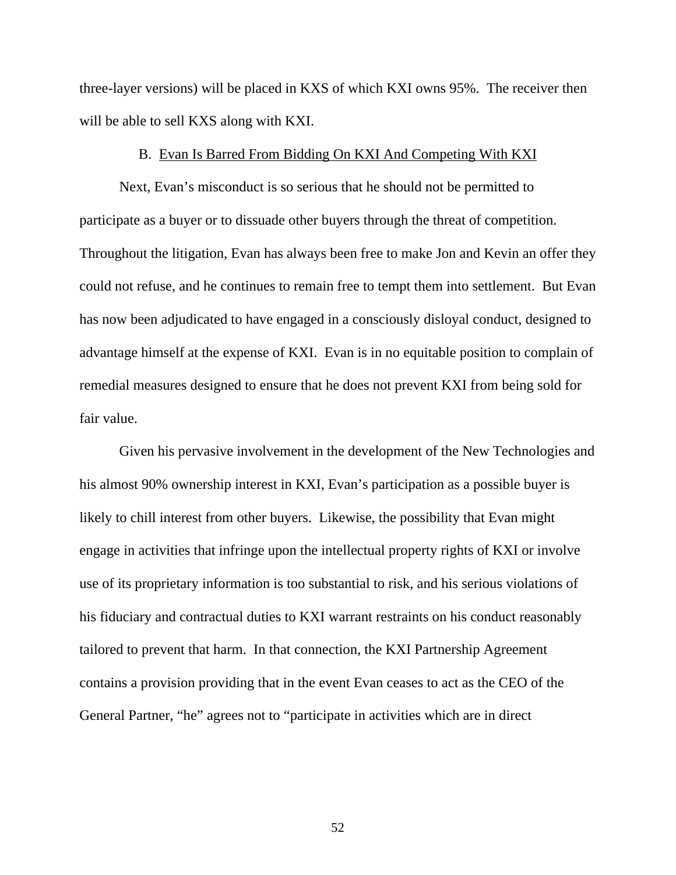three-layer versions) will be placed in KXS of which KXI owns 95%. The receiver then will be able to sell KXS along with KXI.

## B. Evan Is Barred From Bidding On KXI And Competing With KXI

Next, Evan's misconduct is so serious that he should not be permitted to participate as a buyer or to dissuade other buyers through the threat of competition. Throughout the litigation, Evan has always been free to make Jon and Kevin an offer they could not refuse, and he continues to remain free to tempt them into settlement. But Evan has now been adjudicated to have engaged in a consciously disloyal conduct, designed to advantage himself at the expense of KXI. Evan is in no equitable position to complain of remedial measures designed to ensure that he does not prevent KXI from being sold for fair value.

Given his pervasive involvement in the development of the New Technologies and his almost 90% ownership interest in KXI, Evan's participation as a possible buyer is likely to chill interest from other buyers. Likewise, the possibility that Evan might engage in activities that infringe upon the intellectual property rights of KXI or involve use of its proprietary information is too substantial to risk, and his serious violations of his fiduciary and contractual duties to KXI warrant restraints on his conduct reasonably tailored to prevent that harm. In that connection, the KXI Partnership Agreement contains a provision providing that in the event Evan ceases to act as the CEO of the General Partner, "he" agrees not to "participate in activities which are in direct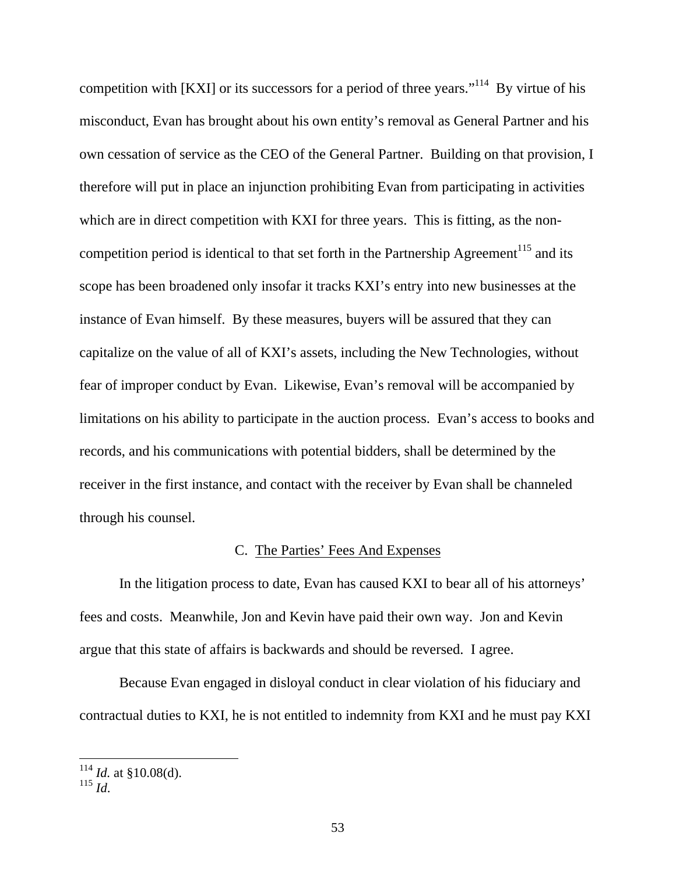competition with  $[KXI]$  or its successors for a period of three years."<sup>114</sup> By virtue of his misconduct, Evan has brought about his own entity's removal as General Partner and his own cessation of service as the CEO of the General Partner. Building on that provision, I therefore will put in place an injunction prohibiting Evan from participating in activities which are in direct competition with KXI for three years. This is fitting, as the noncompetition period is identical to that set forth in the Partnership Agreement<sup>115</sup> and its scope has been broadened only insofar it tracks KXI's entry into new businesses at the instance of Evan himself. By these measures, buyers will be assured that they can capitalize on the value of all of KXI's assets, including the New Technologies, without fear of improper conduct by Evan. Likewise, Evan's removal will be accompanied by limitations on his ability to participate in the auction process. Evan's access to books and records, and his communications with potential bidders, shall be determined by the receiver in the first instance, and contact with the receiver by Evan shall be channeled through his counsel.

#### C. The Parties' Fees And Expenses

In the litigation process to date, Evan has caused KXI to bear all of his attorneys' fees and costs. Meanwhile, Jon and Kevin have paid their own way. Jon and Kevin argue that this state of affairs is backwards and should be reversed. I agree.

Because Evan engaged in disloyal conduct in clear violation of his fiduciary and contractual duties to KXI, he is not entitled to indemnity from KXI and he must pay KXI

 $114$  *Id.* at §10.08(d).

 $^{115}$  *Id.*